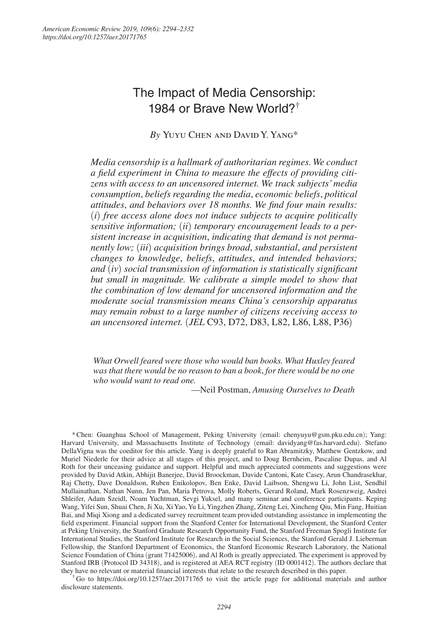# The Impact of Media Censorship: 1984 or Brave New World?†

# *By* Yuyu Chen and David Y. Yang\*

*Media censorship is a hallmark of authoritarian regimes. We conduct a field experiment in China to measure the effects of providing citizens with access to an uncensored internet. We track subjects' media consumption*, *beliefs regarding the media*, *economic beliefs*, *political attitudes*, *and behaviors over 18 months. We find four main results:*  (*i*) *free access alone does not induce subjects to acquire politically sensitive information;* (*ii*) *temporary encouragement leads to a persistent increase in acquisition*, *indicating that demand is not permanently low;* (*iii*) *acquisition brings broad*, *substantial*, *and persistent changes to knowledge*, *beliefs*, *attitudes*, *and intended behaviors; and* (*iv*) *social transmission of information is statistically significant but small in magnitude. We calibrate a simple model to show that the combination of low demand for uncensored information and the moderate social transmission means China's censorship apparatus may remain robust to a large number of citizens receiving access to an uncensored internet.* (*JEL* C93, D72, D83, L82, L86, L88, P36)

*What Orwell feared were those who would ban books. What Huxley feared was that there would be no reason to ban a book*, *for there would be no one who would want to read one.*

—Neil Postman, *Amusing Ourselves to Death*

\* Chen: Guanghua School of Management, Peking University (email: chenyuyu@gsm.pku.edu.cn); Yang: Harvard University, and Massachusetts Institute of Technology (email: davidyang@fas.harvard.edu). Stefano DellaVigna was the coeditor for this article. Yang is deeply grateful to Ran Abramitzky, Matthew Gentzkow, and Muriel Niederle for their advice at all stages of this project, and to Doug Bernheim, Pascaline Dupas, and Al Roth for their unceasing guidance and support. Helpful and much appreciated comments and suggestions were provided by David Atkin, Abhijit Banerjee, David Broockman, Davide Cantoni, Kate Casey, Arun Chandrasekhar, Raj Chetty, Dave Donaldson, Ruben Enikolopov, Ben Enke, David Laibson, Shengwu Li, John List, Sendhil Mullainathan, Nathan Nunn, Jen Pan, Maria Petrova, Molly Roberts, Gerard Roland, Mark Rosenzweig, Andrei Shleifer, Adam Szeidl, Noam Yuchtman, Sevgi Yuksel, and many seminar and conference participants. Keping Wang, Yifei Sun, Shuai Chen, Ji Xu, Xi Yao, Yu Li, Yingzhen Zhang, Ziteng Lei, Xincheng Qiu, Min Fang, Huitian Bai, and Miqi Xiong and a dedicated survey recruitment team provided outstanding assistance in implementing the field experiment. Financial support from the Stanford Center for International Development, the Stanford Center at Peking University, the Stanford Graduate Research Opportunity Fund, the Stanford Freeman Spogli Institute for International Studies, the Stanford Institute for Research in the Social Sciences, the Stanford Gerald J. Lieberman Fellowship, the Stanford Department of Economics, the Stanford Economic Research Laboratory, the National Science Foundation of China (grant 71425006), and Al Roth is greatly appreciated. The experiment is approved by Stanford IRB (Protocol ID 34318), and is registered at AEA RCT registry (ID 0001412). The authors declare that they have no relevant or material financial interests that relate to the research described in this paper.

†Go to https://doi.org/10.1257/aer.20171765 to visit the article page for additional materials and author disclosure statements.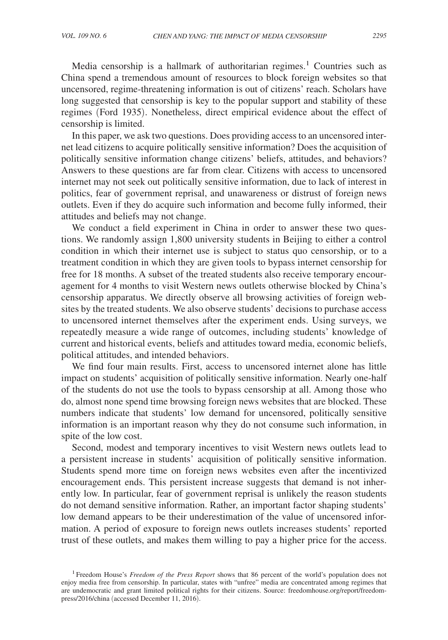Media censorship is a hallmark of authoritarian regimes.<sup>1</sup> Countries such as China spend a tremendous amount of resources to block foreign websites so that uncensored, regime-threatening information is out of citizens' reach. Scholars have long suggested that censorship is key to the popular support and stability of these regimes (Ford 1935). Nonetheless, direct empirical evidence about the effect of censorship is limited.

In this paper, we ask two questions. Does providing access to an uncensored internet lead citizens to acquire politically sensitive information? Does the acquisition of politically sensitive information change citizens' beliefs, attitudes, and behaviors? Answers to these questions are far from clear. Citizens with access to uncensored internet may not seek out politically sensitive information, due to lack of interest in politics, fear of government reprisal, and unawareness or distrust of foreign news outlets. Even if they do acquire such information and become fully informed, their attitudes and beliefs may not change.

We conduct a field experiment in China in order to answer these two questions. We randomly assign 1,800 university students in Beijing to either a control condition in which their internet use is subject to status quo censorship, or to a treatment condition in which they are given tools to bypass internet censorship for free for 18 months. A subset of the treated students also receive temporary encouragement for 4 months to visit Western news outlets otherwise blocked by China's censorship apparatus. We directly observe all browsing activities of foreign websites by the treated students. We also observe students' decisions to purchase access to uncensored internet themselves after the experiment ends. Using surveys, we repeatedly measure a wide range of outcomes, including students' knowledge of current and historical events, beliefs and attitudes toward media, economic beliefs, political attitudes, and intended behaviors.

We find four main results. First, access to uncensored internet alone has little impact on students' acquisition of politically sensitive information. Nearly one-half of the students do not use the tools to bypass censorship at all. Among those who do, almost none spend time browsing foreign news websites that are blocked. These numbers indicate that students' low demand for uncensored, politically sensitive information is an important reason why they do not consume such information, in spite of the low cost.

Second, modest and temporary incentives to visit Western news outlets lead to a persistent increase in students' acquisition of politically sensitive information. Students spend more time on foreign news websites even after the incentivized encouragement ends. This persistent increase suggests that demand is not inherently low. In particular, fear of government reprisal is unlikely the reason students do not demand sensitive information. Rather, an important factor shaping students' low demand appears to be their underestimation of the value of uncensored information. A period of exposure to foreign news outlets increases students' reported trust of these outlets, and makes them willing to pay a higher price for the access.

<sup>&</sup>lt;sup>1</sup> Freedom House's *Freedom of the Press Report* shows that 86 percent of the world's population does not enjoy media free from censorship. In particular, states with "unfree" media are concentrated among regimes that are undemocratic and grant limited political rights for their citizens. Source: freedomhouse.org/report/freedompress/2016/china (accessed December 11, 2016).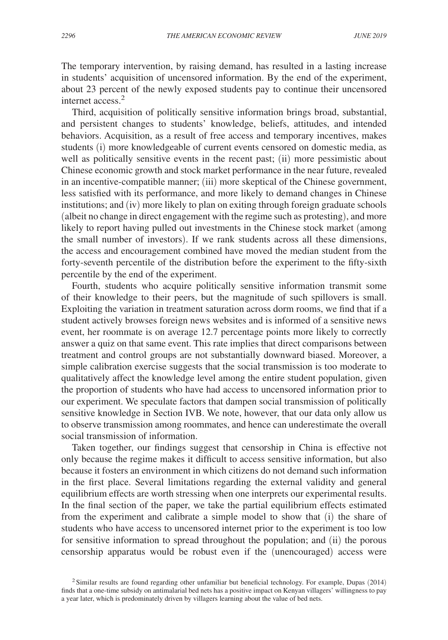The temporary intervention, by raising demand, has resulted in a lasting increase in students' acquisition of uncensored information. By the end of the experiment, about 23 percent of the newly exposed students pay to continue their uncensored internet access.<sup>2</sup>

Third, acquisition of politically sensitive information brings broad, substantial, and persistent changes to students' knowledge, beliefs, attitudes, and intended behaviors. Acquisition, as a result of free access and temporary incentives, makes students (i) more knowledgeable of current events censored on domestic media, as well as politically sensitive events in the recent past; (ii) more pessimistic about Chinese economic growth and stock market performance in the near future, revealed in an incentive-compatible manner; (iii) more skeptical of the Chinese government, less satisfied with its performance, and more likely to demand changes in Chinese institutions; and (iv) more likely to plan on exiting through foreign graduate schools (albeit no change in direct engagement with the regime such as protesting), and more likely to report having pulled out investments in the Chinese stock market (among the small number of investors). If we rank students across all these dimensions, the access and encouragement combined have moved the median student from the forty-seventh percentile of the distribution before the experiment to the fifty-sixth percentile by the end of the experiment.

Fourth, students who acquire politically sensitive information transmit some of their knowledge to their peers, but the magnitude of such spillovers is small. Exploiting the variation in treatment saturation across dorm rooms, we find that if a student actively browses foreign news websites and is informed of a sensitive news event, her roommate is on average 12.7 percentage points more likely to correctly answer a quiz on that same event. This rate implies that direct comparisons between treatment and control groups are not substantially downward biased. Moreover, a simple calibration exercise suggests that the social transmission is too moderate to qualitatively affect the knowledge level among the entire student population, given the proportion of students who have had access to uncensored information prior to our experiment. We speculate factors that dampen social transmission of politically sensitive knowledge in Section IVB. We note, however, that our data only allow us to observe transmission among roommates, and hence can underestimate the overall social transmission of information.

Taken together, our findings suggest that censorship in China is effective not only because the regime makes it difficult to access sensitive information, but also because it fosters an environment in which citizens do not demand such information in the first place. Several limitations regarding the external validity and general equilibrium effects are worth stressing when one interprets our experimental results. In the final section of the paper, we take the partial equilibrium effects estimated from the experiment and calibrate a simple model to show that (i) the share of students who have access to uncensored internet prior to the experiment is too low for sensitive information to spread throughout the population; and (ii) the porous censorship apparatus would be robust even if the (unencouraged) access were

 $2$ Similar results are found regarding other unfamiliar but beneficial technology. For example, Dupas (2014) finds that a one-time subsidy on antimalarial bed nets has a positive impact on Kenyan villagers' willingness to pay a year later, which is predominately driven by villagers learning about the value of bed nets.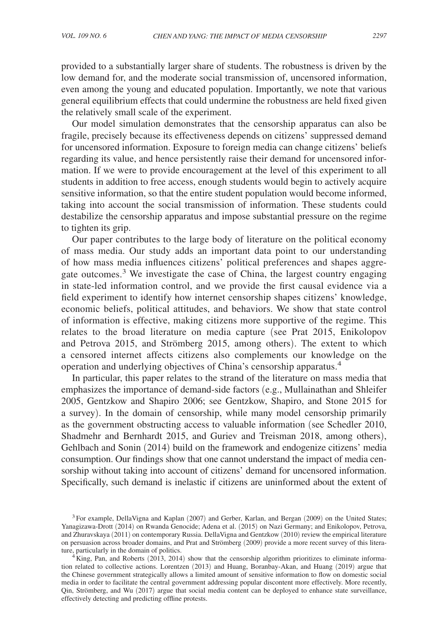provided to a substantially larger share of students. The robustness is driven by the low demand for, and the moderate social transmission of, uncensored information, even among the young and educated population. Importantly, we note that various general equilibrium effects that could undermine the robustness are held fixed given the relatively small scale of the experiment.

Our model simulation demonstrates that the censorship apparatus can also be fragile, precisely because its effectiveness depends on citizens' suppressed demand for uncensored information. Exposure to foreign media can change citizens' beliefs regarding its value, and hence persistently raise their demand for uncensored information. If we were to provide encouragement at the level of this experiment to all students in addition to free access, enough students would begin to actively acquire sensitive information, so that the entire student population would become informed, taking into account the social transmission of information. These students could destabilize the censorship apparatus and impose substantial pressure on the regime to tighten its grip.

Our paper contributes to the large body of literature on the political economy of mass media. Our study adds an important data point to our understanding of how mass media influences citizens' political preferences and shapes aggregate outcomes.<sup>3</sup> We investigate the case of China, the largest country engaging in state-led information control, and we provide the first causal evidence via a field experiment to identify how internet censorship shapes citizens' knowledge, economic beliefs, political attitudes, and behaviors. We show that state control of information is effective, making citizens more supportive of the regime. This relates to the broad literature on media capture (see Prat 2015, Enikolopov and Petrova 2015, and Strömberg 2015, among others). The extent to which a censored internet affects citizens also complements our knowledge on the operation and underlying objectives of China's censorship apparatus.<sup>4</sup>

In particular, this paper relates to the strand of the literature on mass media that emphasizes the importance of demand-side factors (e.g., Mullainathan and Shleifer 2005, Gentzkow and Shapiro 2006; see Gentzkow, Shapiro, and Stone 2015 for a survey). In the domain of censorship, while many model censorship primarily as the government obstructing access to valuable information (see Schedler 2010, Shadmehr and Bernhardt 2015, and Guriev and Treisman 2018, among others), Gehlbach and Sonin (2014) build on the framework and endogenize citizens' media consumption. Our findings show that one cannot understand the impact of media censorship without taking into account of citizens' demand for uncensored information. Specifically, such demand is inelastic if citizens are uninformed about the extent of

<sup>&</sup>lt;sup>3</sup> For example, DellaVigna and Kaplan (2007) and Gerber, Karlan, and Bergan (2009) on the United States; Yanagizawa-Drott (2014) on Rwanda Genocide; Adena et al. (2015) on Nazi Germany; and Enikolopov, Petrova, and Zhuravskaya (2011) on contemporary Russia. DellaVigna and Gentzkow (2010) review the empirical literature on persuasion across broader domains, and Prat and Strömberg (2009) provide a more recent survey of this literature, particularly in the domain of politics.

 $4\text{King, Pan, and Roberts } (2013, 2014)$  show that the censorship algorithm prioritizes to eliminate information related to collective actions. Lorentzen (2013) and Huang, Boranbay-Akan, and Huang (2019) argue that the Chinese government strategically allows a limited amount of sensitive information to flow on domestic social media in order to facilitate the central government addressing popular discontent more effectively. More recently, Qin, Strömberg, and Wu (2017) argue that social media content can be deployed to enhance state surveillance, effectively detecting and predicting offline protests.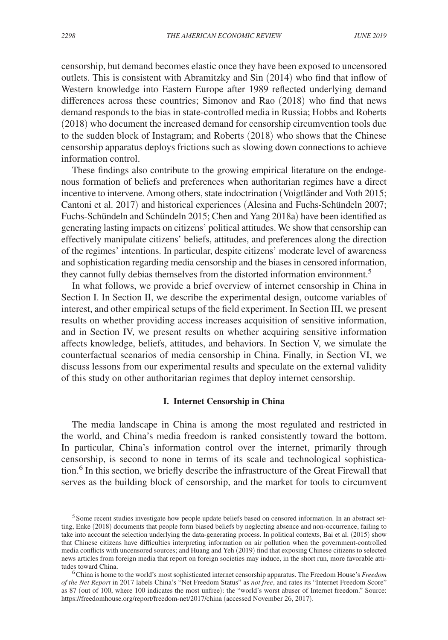censorship, but demand becomes elastic once they have been exposed to uncensored outlets. This is consistent with Abramitzky and Sin (2014) who find that inflow of Western knowledge into Eastern Europe after 1989 reflected underlying demand differences across these countries; Simonov and Rao (2018) who find that news demand responds to the bias in state-controlled media in Russia; Hobbs and Roberts (2018) who document the increased demand for censorship circumvention tools due to the sudden block of Instagram; and Roberts (2018) who shows that the Chinese censorship apparatus deploys frictions such as slowing down connections to achieve information control.

These findings also contribute to the growing empirical literature on the endogenous formation of beliefs and preferences when authoritarian regimes have a direct incentive to intervene. Among others, state indoctrination (Voigtländer and Voth 2015; Cantoni et al. 2017) and historical experiences (Alesina and Fuchs-Schündeln 2007; Fuchs-Schündeln and Schündeln 2015; Chen and Yang 2018a) have been identified as generating lasting impacts on citizens' political attitudes. We show that censorship can effectively manipulate citizens' beliefs, attitudes, and preferences along the direction of the regimes' intentions. In particular, despite citizens' moderate level of awareness and sophistication regarding media censorship and the biases in censored information, they cannot fully debias themselves from the distorted information environment.<sup>5</sup>

In what follows, we provide a brief overview of internet censorship in China in Section I. In Section II, we describe the experimental design, outcome variables of interest, and other empirical setups of the field experiment. In Section III, we present results on whether providing access increases acquisition of sensitive information, and in Section IV, we present results on whether acquiring sensitive information affects knowledge, beliefs, attitudes, and behaviors. In Section V, we simulate the counterfactual scenarios of media censorship in China. Finally, in Section VI, we discuss lessons from our experimental results and speculate on the external validity of this study on other authoritarian regimes that deploy internet censorship.

## **I. Internet Censorship in China**

The media landscape in China is among the most regulated and restricted in the world, and China's media freedom is ranked consistently toward the bottom. In particular, China's information control over the internet, primarily through censorship, is second to none in terms of its scale and technological sophistication.<sup>6</sup> In this section, we briefly describe the infrastructure of the Great Firewall that serves as the building block of censorship, and the market for tools to circumvent

<sup>&</sup>lt;sup>5</sup> Some recent studies investigate how people update beliefs based on censored information. In an abstract setting, Enke (2018) documents that people form biased beliefs by neglecting absence and non-occurrence, failing to take into account the selection underlying the data-generating process. In political contexts, Bai et al. (2015) show that Chinese citizens have difficulties interpreting information on air pollution when the government-controlled media conflicts with uncensored sources; and Huang and Yeh (2019) find that exposing Chinese citizens to selected news articles from foreign media that report on foreign societies may induce, in the short run, more favorable attitudes toward China.

<sup>6</sup>China is home to the world's most sophisticated internet censorship apparatus. The Freedom House's *Freedom of the Net Report* in 2017 labels China's "Net Freedom Status" as *not free*, and rates its "Internet Freedom Score" as 87 (out of 100, where 100 indicates the most unfree): the "world's worst abuser of Internet freedom." Source: https://freedomhouse.org/report/freedom-net/2017/china (accessed November 26, 2017).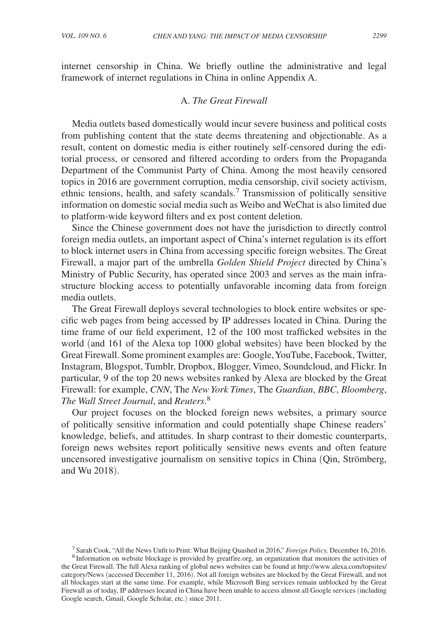internet censorship in China. We briefly outline the administrative and legal framework of internet regulations in China in online Appendix A.

# A. *The Great Firewall*

Media outlets based domestically would incur severe business and political costs from publishing content that the state deems threatening and objectionable. As a result, content on domestic media is either routinely self-censored during the editorial process, or censored and filtered according to orders from the Propaganda Department of the Communist Party of China. Among the most heavily censored topics in 2016 are government corruption, media censorship, civil society activism, ethnic tensions, health, and safety scandals.<sup>7</sup> Transmission of politically sensitive information on domestic social media such as Weibo and WeChat is also limited due to platform-wide keyword filters and ex post content deletion.

Since the Chinese government does not have the jurisdiction to directly control foreign media outlets, an important aspect of China's internet regulation is its effort to block internet users in China from accessing specific foreign websites. The Great Firewall, a major part of the umbrella *Golden Shield Project* directed by China's Ministry of Public Security, has operated since 2003 and serves as the main infrastructure blocking access to potentially unfavorable incoming data from foreign media outlets.

The Great Firewall deploys several technologies to block entire websites or specific web pages from being accessed by IP addresses located in China. During the time frame of our field experiment, 12 of the 100 most trafficked websites in the world (and 161 of the Alexa top 1000 global websites) have been blocked by the Great Firewall. Some prominent examples are: Google, YouTube, Facebook, Twitter, Instagram, Blogspot, Tumblr, Dropbox, Blogger, Vimeo, Soundcloud, and Flickr. In particular, 9 of the top 20 news websites ranked by Alexa are blocked by the Great Firewall: for example, *CNN*, The *New York Times*, The *Guardian*, *BBC*, *Bloomberg*, *The Wall Street Journal*, and *Reuters*. 8

Our project focuses on the blocked foreign news websites, a primary source of politically sensitive information and could potentially shape Chinese readers' knowledge, beliefs, and attitudes. In sharp contrast to their domestic counterparts, foreign news websites report politically sensitive news events and often feature uncensored investigative journalism on sensitive topics in China (Qin, Strömberg, and Wu 2018).

<sup>7</sup> Sarah Cook, "All the News Unfit to Print: What Beijing Quashed in 2016," *Foreign Policy,* December 16, 2016. <sup>8</sup> Information on website blockage is provided by greatfire.org, an organization that monitors the activities of

the Great Firewall. The full Alexa ranking of global news websites can be found at http://www.alexa.com/topsites/ category/News (accessed December 11, 2016). Not all foreign websites are blocked by the Great Firewall, and not all blockages start at the same time. For example, while Microsoft Bing services remain unblocked by the Great Firewall as of today, IP addresses located in China have been unable to access almost all Google services (including Google search, Gmail, Google Scholar, etc.) since 2011.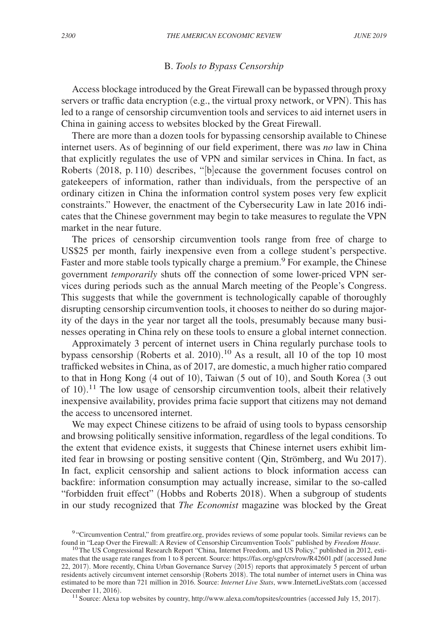# B. *Tools to Bypass Censorship*

Access blockage introduced by the Great Firewall can be bypassed through proxy servers or traffic data encryption (e.g., the virtual proxy network, or VPN). This has led to a range of censorship circumvention tools and services to aid internet users in China in gaining access to websites blocked by the Great Firewall.

There are more than a dozen tools for bypassing censorship available to Chinese internet users. As of beginning of our field experiment, there was *no* law in China that explicitly regulates the use of VPN and similar services in China. In fact, as Roberts (2018, p. 110) describes, "[b]ecause the government focuses control on gatekeepers of information, rather than individuals, from the perspective of an ordinary citizen in China the information control system poses very few explicit constraints." However, the enactment of the Cybersecurity Law in late 2016 indicates that the Chinese government may begin to take measures to regulate the VPN market in the near future.

The prices of censorship circumvention tools range from free of charge to US\$25 per month, fairly inexpensive even from a college student's perspective. Faster and more stable tools typically charge a premium.<sup>9</sup> For example, the Chinese government *temporarily* shuts off the connection of some lower-priced VPN services during periods such as the annual March meeting of the People's Congress. This suggests that while the government is technologically capable of thoroughly disrupting censorship circumvention tools, it chooses to neither do so during majority of the days in the year nor target all the tools, presumably because many businesses operating in China rely on these tools to ensure a global internet connection.

Approximately 3 percent of internet users in China regularly purchase tools to bypass censorship (Roberts et al. 2010).<sup>10</sup> As a result, all 10 of the top 10 most trafficked websites in China, as of 2017, are domestic, a much higher ratio compared to that in Hong Kong (4 out of 10), Taiwan (5 out of 10), and South Korea (3 out of 10). <sup>11</sup> The low usage of censorship circumvention tools, albeit their relatively inexpensive availability, provides prima facie support that citizens may not demand the access to uncensored internet.

We may expect Chinese citizens to be afraid of using tools to bypass censorship and browsing politically sensitive information, regardless of the legal conditions. To the extent that evidence exists, it suggests that Chinese internet users exhibit limited fear in browsing or posting sensitive content (Qin, Strömberg, and Wu 2017). In fact, explicit censorship and salient actions to block information access can backfire: information consumption may actually increase, similar to the so-called "forbidden fruit effect" (Hobbs and Roberts 2018). When a subgroup of students in our study recognized that *The Economist* magazine was blocked by the Great

<sup>11</sup> Source: Alexa top websites by country, http://www.alexa.com/topsites/countries (accessed July 15, 2017).

<sup>&</sup>lt;sup>9</sup> "Circumvention Central," from greatfire.org, provides reviews of some popular tools. Similar reviews can be found in "Leap Over the Firewall: A Review of Censorship Circumvention Tools" published by *Freedom House*.

<sup>&</sup>lt;sup>10</sup>The US Congressional Research Report "China, Internet Freedom, and US Policy," published in 2012, estimates that the usage rate ranges from 1 to 8 percent. Source: https://fas.org/sgp/crs/row/R42601.pdf (accessed June 22, 2017). More recently, China Urban Governance Survey (2015) reports that approximately 5 percent of urban residents actively circumvent internet censorship (Roberts 2018). The total number of internet users in China was estimated to be more than 721 million in 2016. Source: *Internet Live Stats*, www.InternetLiveStats.com (accessed December 11, 2016).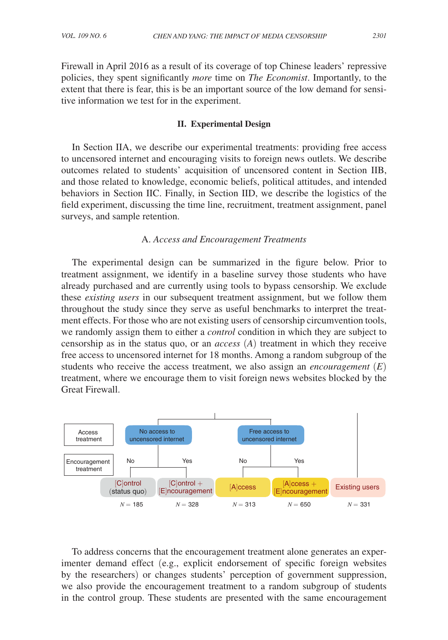Firewall in April 2016 as a result of its coverage of top Chinese leaders' repressive policies, they spent significantly *more* time on *The Economist*. Importantly, to the extent that there is fear, this is be an important source of the low demand for sensitive information we test for in the experiment.

## **II. Experimental Design**

In Section IIA, we describe our experimental treatments: providing free access to uncensored internet and encouraging visits to foreign news outlets. We describe outcomes related to students' acquisition of uncensored content in Section IIB, and those related to knowledge, economic beliefs, political attitudes, and intended behaviors in Section IIC. Finally, in Section IID, we describe the logistics of the field experiment, discussing the time line, recruitment, treatment assignment, panel surveys, and sample retention.

## A. *Access and Encouragement Treatments*

The experimental design can be summarized in the figure below. Prior to treatment assignment, we identify in a baseline survey those students who have already purchased and are currently using tools to bypass censorship. We exclude these *existing users* in our subsequent treatment assignment, but we follow them throughout the study since they serve as useful benchmarks to interpret the treatment effects. For those who are not existing users of censorship circumvention tools, we randomly assign them to either a *control* condition in which they are subject to censorship as in the status quo, or an *access* (*A*) treatment in which they receive free access to uncensored internet for 18 months. Among a random subgroup of the students who receive the access treatment, we also assign an *encouragement* (*E*) treatment, where we encourage them to visit foreign news websites blocked by the Great Firewall.



To address concerns that the encouragement treatment alone generates an experimenter demand effect (e.g., explicit endorsement of specific foreign websites by the researchers) or changes students' perception of government suppression, we also provide the encouragement treatment to a random subgroup of students in the control group. These students are presented with the same encouragement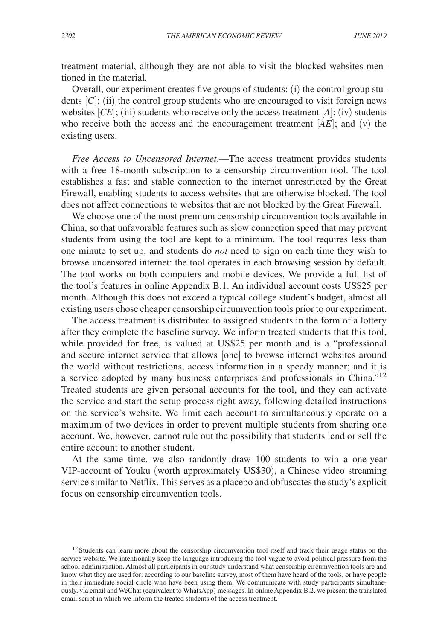treatment material, although they are not able to visit the blocked websites mentioned in the material.

Overall, our experiment creates five groups of students: (i) the control group students  $[C]$ ; (ii) the control group students who are encouraged to visit foreign news websites  $[CE]$ ; (iii) students who receive only the access treatment  $[A]$ ; (iv) students who receive both the access and the encouragement treatment  $[AE]$ ; and (v) the existing users.

*Free Access to Uncensored Internet*.—The access treatment provides students with a free 18-month subscription to a censorship circumvention tool. The tool establishes a fast and stable connection to the internet unrestricted by the Great Firewall, enabling students to access websites that are otherwise blocked. The tool does not affect connections to websites that are not blocked by the Great Firewall.

We choose one of the most premium censorship circumvention tools available in China, so that unfavorable features such as slow connection speed that may prevent students from using the tool are kept to a minimum. The tool requires less than one minute to set up, and students do *not* need to sign on each time they wish to browse uncensored internet: the tool operates in each browsing session by default. The tool works on both computers and mobile devices. We provide a full list of the tool's features in online Appendix B.1. An individual account costs US\$25 per month. Although this does not exceed a typical college student's budget, almost all existing users chose cheaper censorship circumvention tools prior to our experiment.

The access treatment is distributed to assigned students in the form of a lottery after they complete the baseline survey. We inform treated students that this tool, while provided for free, is valued at US\$25 per month and is a "professional and secure internet service that allows [one] to browse internet websites around the world without restrictions, access information in a speedy manner; and it is a service adopted by many business enterprises and professionals in China."<sup>12</sup> Treated students are given personal accounts for the tool, and they can activate the service and start the setup process right away, following detailed instructions on the service's website. We limit each account to simultaneously operate on a maximum of two devices in order to prevent multiple students from sharing one account. We, however, cannot rule out the possibility that students lend or sell the entire account to another student.

At the same time, we also randomly draw 100 students to win a one-year VIP-account of Youku (worth approximately US\$30), a Chinese video streaming service similar to Netflix. This serves as a placebo and obfuscates the study's explicit focus on censorship circumvention tools.

<sup>&</sup>lt;sup>12</sup> Students can learn more about the censorship circumvention tool itself and track their usage status on the service website. We intentionally keep the language introducing the tool vague to avoid political pressure from the school administration. Almost all participants in our study understand what censorship circumvention tools are and know what they are used for: according to our baseline survey, most of them have heard of the tools, or have people in their immediate social circle who have been using them. We communicate with study participants simultaneously, via email and WeChat (equivalent to WhatsApp) messages. In online Appendix B.2, we present the translated email script in which we inform the treated students of the access treatment.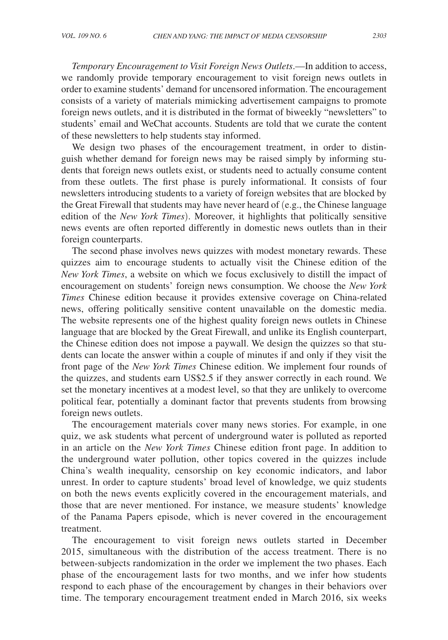*Temporary Encouragement to Visit Foreign News Outlets*.—In addition to access, we randomly provide temporary encouragement to visit foreign news outlets in order to examine students' demand for uncensored information. The encouragement consists of a variety of materials mimicking advertisement campaigns to promote foreign news outlets, and it is distributed in the format of biweekly "newsletters" to students' email and WeChat accounts. Students are told that we curate the content of these newsletters to help students stay informed.

We design two phases of the encouragement treatment, in order to distinguish whether demand for foreign news may be raised simply by informing students that foreign news outlets exist, or students need to actually consume content from these outlets. The first phase is purely informational. It consists of four newsletters introducing students to a variety of foreign websites that are blocked by the Great Firewall that students may have never heard of (e.g., the Chinese language edition of the *New York Times*). Moreover, it highlights that politically sensitive news events are often reported differently in domestic news outlets than in their foreign counterparts.

The second phase involves news quizzes with modest monetary rewards. These quizzes aim to encourage students to actually visit the Chinese edition of the *New York Times*, a website on which we focus exclusively to distill the impact of encouragement on students' foreign news consumption. We choose the *New York Times* Chinese edition because it provides extensive coverage on China-related news, offering politically sensitive content unavailable on the domestic media. The website represents one of the highest quality foreign news outlets in Chinese language that are blocked by the Great Firewall, and unlike its English counterpart, the Chinese edition does not impose a paywall. We design the quizzes so that students can locate the answer within a couple of minutes if and only if they visit the front page of the *New York Times* Chinese edition. We implement four rounds of the quizzes, and students earn US\$2.5 if they answer correctly in each round. We set the monetary incentives at a modest level, so that they are unlikely to overcome political fear, potentially a dominant factor that prevents students from browsing foreign news outlets.

The encouragement materials cover many news stories. For example, in one quiz, we ask students what percent of underground water is polluted as reported in an article on the *New York Times* Chinese edition front page. In addition to the underground water pollution, other topics covered in the quizzes include China's wealth inequality, censorship on key economic indicators, and labor unrest. In order to capture students' broad level of knowledge, we quiz students on both the news events explicitly covered in the encouragement materials, and those that are never mentioned. For instance, we measure students' knowledge of the Panama Papers episode, which is never covered in the encouragement treatment.

The encouragement to visit foreign news outlets started in December 2015, simultaneous with the distribution of the access treatment. There is no between-subjects randomization in the order we implement the two phases. Each phase of the encouragement lasts for two months, and we infer how students respond to each phase of the encouragement by changes in their behaviors over time. The temporary encouragement treatment ended in March 2016, six weeks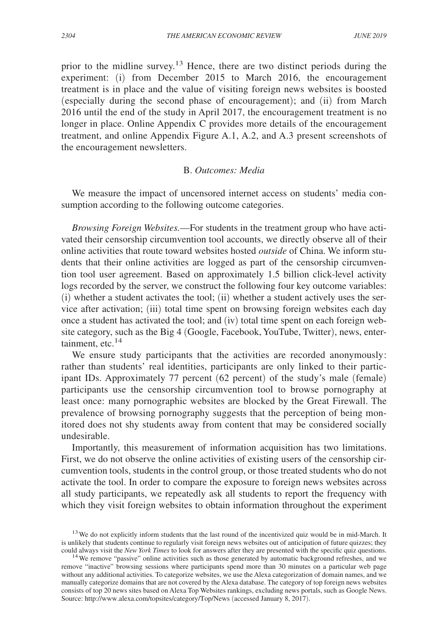prior to the midline survey.13 Hence, there are two distinct periods during the experiment: (i) from December 2015 to March 2016, the encouragement treatment is in place and the value of visiting foreign news websites is boosted (especially during the second phase of encouragement); and (ii) from March 2016 until the end of the study in April 2017, the encouragement treatment is no longer in place. Online Appendix C provides more details of the encouragement treatment, and online Appendix Figure A.1, A.2, and A.3 present screenshots of the encouragement newsletters.

# B. *Outcomes: Media*

We measure the impact of uncensored internet access on students' media consumption according to the following outcome categories.

*Browsing Foreign Websites.*—For students in the treatment group who have activated their censorship circumvention tool accounts, we directly observe all of their online activities that route toward websites hosted *outside* of China. We inform students that their online activities are logged as part of the censorship circumvention tool user agreement. Based on approximately 1.5 billion click-level activity logs recorded by the server, we construct the following four key outcome variables: (i) whether a student activates the tool; (ii) whether a student actively uses the service after activation; (iii) total time spent on browsing foreign websites each day once a student has activated the tool; and (iv) total time spent on each foreign website category, such as the Big 4 (Google, Facebook, YouTube, Twitter), news, entertainment, etc. $14$ 

We ensure study participants that the activities are recorded anonymously: rather than students' real identities, participants are only linked to their participant IDs. Approximately 77 percent (62 percent) of the study's male (female) participants use the censorship circumvention tool to browse pornography at least once: many pornographic websites are blocked by the Great Firewall. The prevalence of browsing pornography suggests that the perception of being monitored does not shy students away from content that may be considered socially undesirable.

Importantly, this measurement of information acquisition has two limitations. First, we do not observe the online activities of existing users of the censorship circumvention tools, students in the control group, or those treated students who do not activate the tool. In order to compare the exposure to foreign news websites across all study participants, we repeatedly ask all students to report the frequency with which they visit foreign websites to obtain information throughout the experiment

<sup>&</sup>lt;sup>13</sup> We do not explicitly inform students that the last round of the incentivized quiz would be in mid-March. It is unlikely that students continue to regularly visit foreign news websites out of anticipation of future quizzes; they could always visit the *New York Times* to look for answers after they are presented with the specific quiz questions.

<sup>&</sup>lt;sup>14</sup> We remove "passive" online activities such as those generated by automatic background refreshes, and we remove "inactive" browsing sessions where participants spend more than 30 minutes on a particular web page without any additional activities. To categorize websites, we use the Alexa categorization of domain names, and we manually categorize domains that are not covered by the Alexa database. The category of top foreign news websites consists of top 20 news sites based on Alexa Top Websites rankings, excluding news portals, such as Google News. Source: http://www.alexa.com/topsites/category/Top/News (accessed January 8, 2017).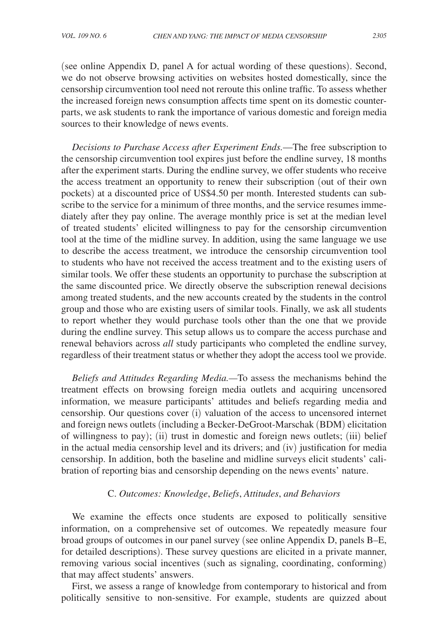(see online Appendix D, panel A for actual wording of these questions). Second, we do not observe browsing activities on websites hosted domestically, since the censorship circumvention tool need not reroute this online traffic. To assess whether the increased foreign news consumption affects time spent on its domestic counterparts, we ask students to rank the importance of various domestic and foreign media sources to their knowledge of news events.

*Decisions to Purchase Access after Experiment Ends.*—The free subscription to the censorship circumvention tool expires just before the endline survey, 18 months after the experiment starts. During the endline survey, we offer students who receive the access treatment an opportunity to renew their subscription (out of their own pockets) at a discounted price of US\$4.50 per month. Interested students can subscribe to the service for a minimum of three months, and the service resumes immediately after they pay online. The average monthly price is set at the median level of treated students' elicited willingness to pay for the censorship circumvention tool at the time of the midline survey. In addition, using the same language we use to describe the access treatment, we introduce the censorship circumvention tool to students who have not received the access treatment and to the existing users of similar tools. We offer these students an opportunity to purchase the subscription at the same discounted price. We directly observe the subscription renewal decisions among treated students, and the new accounts created by the students in the control group and those who are existing users of similar tools. Finally, we ask all students to report whether they would purchase tools other than the one that we provide during the endline survey. This setup allows us to compare the access purchase and renewal behaviors across *all* study participants who completed the endline survey, regardless of their treatment status or whether they adopt the access tool we provide.

*Beliefs and Attitudes Regarding Media.—*To assess the mechanisms behind the treatment effects on browsing foreign media outlets and acquiring uncensored information, we measure participants' attitudes and beliefs regarding media and censorship. Our questions cover (i) valuation of the access to uncensored internet and foreign news outlets (including a Becker-DeGroot-Marschak (BDM) elicitation of willingness to pay); (ii) trust in domestic and foreign news outlets; (iii) belief in the actual media censorship level and its drivers; and (iv) justification for media censorship. In addition, both the baseline and midline surveys elicit students' calibration of reporting bias and censorship depending on the news events' nature.

### C. *Outcomes: Knowledge*, *Beliefs*, *Attitudes*, *and Behaviors*

We examine the effects once students are exposed to politically sensitive information, on a comprehensive set of outcomes. We repeatedly measure four broad groups of outcomes in our panel survey (see online Appendix D, panels B–E, for detailed descriptions). These survey questions are elicited in a private manner, removing various social incentives (such as signaling, coordinating, conforming) that may affect students' answers.

First, we assess a range of knowledge from contemporary to historical and from politically sensitive to non-sensitive. For example, students are quizzed about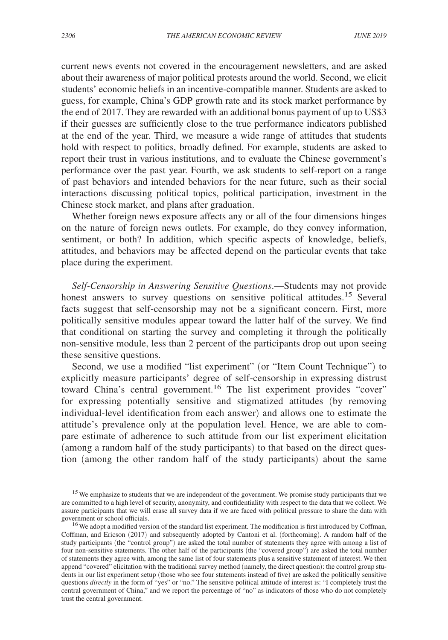current news events not covered in the encouragement newsletters, and are asked about their awareness of major political protests around the world. Second, we elicit students' economic beliefs in an incentive-compatible manner. Students are asked to guess, for example, China's GDP growth rate and its stock market performance by the end of 2017. They are rewarded with an additional bonus payment of up to US\$3 if their guesses are sufficiently close to the true performance indicators published at the end of the year. Third, we measure a wide range of attitudes that students hold with respect to politics, broadly defined. For example, students are asked to report their trust in various institutions, and to evaluate the Chinese government's performance over the past year. Fourth, we ask students to self-report on a range of past behaviors and intended behaviors for the near future, such as their social interactions discussing political topics, political participation, investment in the Chinese stock market, and plans after graduation.

Whether foreign news exposure affects any or all of the four dimensions hinges on the nature of foreign news outlets. For example, do they convey information, sentiment, or both? In addition, which specific aspects of knowledge, beliefs, attitudes, and behaviors may be affected depend on the particular events that take place during the experiment.

*Self-Censorship in Answering Sensitive Questions*.—Students may not provide honest answers to survey questions on sensitive political attitudes.<sup>15</sup> Several facts suggest that self-censorship may not be a significant concern. First, more politically sensitive modules appear toward the latter half of the survey. We find that conditional on starting the survey and completing it through the politically non-sensitive module, less than 2 percent of the participants drop out upon seeing these sensitive questions.

Second, we use a modified "list experiment" (or "Item Count Technique") to explicitly measure participants' degree of self-censorship in expressing distrust toward China's central government.<sup>16</sup> The list experiment provides "cover" for expressing potentially sensitive and stigmatized attitudes (by removing individual-level identification from each answer) and allows one to estimate the attitude's prevalence only at the population level. Hence, we are able to compare estimate of adherence to such attitude from our list experiment elicitation (among a random half of the study participants) to that based on the direct question (among the other random half of the study participants) about the same

<sup>&</sup>lt;sup>15</sup> We emphasize to students that we are independent of the government. We promise study participants that we are committed to a high level of security, anonymity, and confidentiality with respect to the data that we collect. We assure participants that we will erase all survey data if we are faced with political pressure to share the data with government or school officials.

<sup>&</sup>lt;sup>16</sup> We adopt a modified version of the standard list experiment. The modification is first introduced by Coffman, Coffman, and Ericson (2017) and subsequently adopted by Cantoni et al. (forthcoming). A random half of the study participants (the "control group") are asked the total number of statements they agree with among a list of four non-sensitive statements. The other half of the participants (the "covered group") are asked the total number of statements they agree with, among the same list of four statements plus a sensitive statement of interest. We then append "covered" elicitation with the traditional survey method (namely, the direct question): the control group students in our list experiment setup (those who see four statements instead of five) are asked the politically sensitive questions *directly* in the form of "yes" or "no." The sensitive political attitude of interest is: "I completely trust the central government of China," and we report the percentage of "no" as indicators of those who do not completely trust the central government.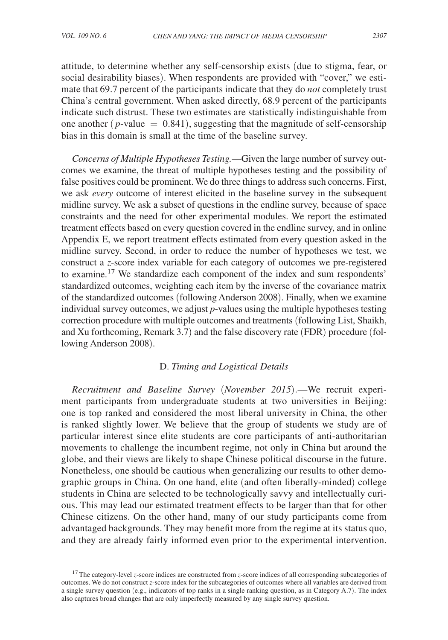attitude, to determine whether any self-censorship exists (due to stigma, fear, or social desirability biases). When respondents are provided with "cover," we estimate that 69.7 percent of the participants indicate that they do *not* completely trust China's central government. When asked directly, 68.9 percent of the participants indicate such distrust. These two estimates are statistically indistinguishable from one another  $(p$ -value  $= 0.841$ ), suggesting that the magnitude of self-censorship bias in this domain is small at the time of the baseline survey.

*Concerns of Multiple Hypotheses Testing.*—Given the large number of survey outcomes we examine, the threat of multiple hypotheses testing and the possibility of false positives could be prominent. We do three things to address such concerns. First, we ask *every* outcome of interest elicited in the baseline survey in the subsequent midline survey. We ask a subset of questions in the endline survey, because of space constraints and the need for other experimental modules. We report the estimated treatment effects based on every question covered in the endline survey, and in online Appendix E, we report treatment effects estimated from every question asked in the midline survey. Second, in order to reduce the number of hypotheses we test, we construct a *z*-score index variable for each category of outcomes we pre-registered to examine.17 We standardize each component of the index and sum respondents' standardized outcomes, weighting each item by the inverse of the covariance matrix of the standardized outcomes (following Anderson 2008). Finally, when we examine individual survey outcomes, we adjust *p*-values using the multiple hypotheses testing correction procedure with multiple outcomes and treatments (following List, Shaikh, and Xu forthcoming, Remark 3.7) and the false discovery rate (FDR) procedure (following Anderson 2008).

# D. *Timing and Logistical Details*

*Recruitment and Baseline Survey* (*November 2015*).—We recruit experiment participants from undergraduate students at two universities in Beijing: one is top ranked and considered the most liberal university in China, the other is ranked slightly lower. We believe that the group of students we study are of particular interest since elite students are core participants of anti-authoritarian movements to challenge the incumbent regime, not only in China but around the globe, and their views are likely to shape Chinese political discourse in the future. Nonetheless, one should be cautious when generalizing our results to other demographic groups in China. On one hand, elite (and often liberally-minded) college students in China are selected to be technologically savvy and intellectually curious. This may lead our estimated treatment effects to be larger than that for other Chinese citizens. On the other hand, many of our study participants come from advantaged backgrounds. They may benefit more from the regime at its status quo, and they are already fairly informed even prior to the experimental intervention.

<sup>&</sup>lt;sup>17</sup>The category-level *z*-score indices are constructed from *z*-score indices of all corresponding subcategories of outcomes. We do not construct *z*-score index for the subcategories of outcomes where all variables are derived from a single survey question (e.g., indicators of top ranks in a single ranking question, as in Category A.7). The index also captures broad changes that are only imperfectly measured by any single survey question.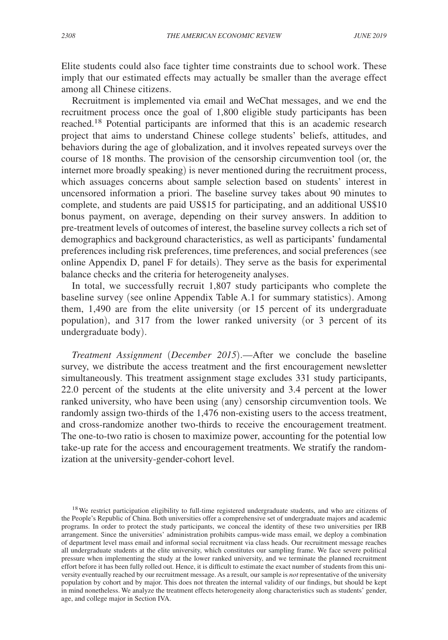Elite students could also face tighter time constraints due to school work. These imply that our estimated effects may actually be smaller than the average effect among all Chinese citizens.

Recruitment is implemented via email and WeChat messages, and we end the recruitment process once the goal of 1,800 eligible study participants has been reached.18 Potential participants are informed that this is an academic research project that aims to understand Chinese college students' beliefs, attitudes, and behaviors during the age of globalization, and it involves repeated surveys over the course of 18 months. The provision of the censorship circumvention tool (or, the internet more broadly speaking) is never mentioned during the recruitment process, which assuages concerns about sample selection based on students' interest in uncensored information a priori. The baseline survey takes about 90 minutes to complete, and students are paid US\$15 for participating, and an additional US\$10 bonus payment, on average, depending on their survey answers. In addition to pre-treatment levels of outcomes of interest, the baseline survey collects a rich set of demographics and background characteristics, as well as participants' fundamental preferences including risk preferences, time preferences, and social preferences (see online Appendix D, panel F for details). They serve as the basis for experimental balance checks and the criteria for heterogeneity analyses.

In total, we successfully recruit 1,807 study participants who complete the baseline survey (see online Appendix Table A.1 for summary statistics). Among them, 1,490 are from the elite university (or 15 percent of its undergraduate population), and 317 from the lower ranked university (or 3 percent of its undergraduate body).

*Treatment Assignment* (*December 2015*).—After we conclude the baseline survey, we distribute the access treatment and the first encouragement newsletter simultaneously. This treatment assignment stage excludes 331 study participants, 22.0 percent of the students at the elite university and 3.4 percent at the lower ranked university, who have been using (any) censorship circumvention tools. We randomly assign two-thirds of the 1,476 non-existing users to the access treatment, and cross-randomize another two-thirds to receive the encouragement treatment. The one-to-two ratio is chosen to maximize power, accounting for the potential low take-up rate for the access and encouragement treatments. We stratify the randomization at the university-gender-cohort level.

<sup>&</sup>lt;sup>18</sup> We restrict participation eligibility to full-time registered undergraduate students, and who are citizens of the People's Republic of China. Both universities offer a comprehensive set of undergraduate majors and academic programs. In order to protect the study participants, we conceal the identity of these two universities per IRB arrangement. Since the universities' administration prohibits campus-wide mass email, we deploy a combination of department level mass email and informal social recruitment via class heads. Our recruitment message reaches all undergraduate students at the elite university, which constitutes our sampling frame. We face severe political pressure when implementing the study at the lower ranked university, and we terminate the planned recruitment effort before it has been fully rolled out. Hence, it is difficult to estimate the exact number of students from this university eventually reached by our recruitment message. As a result, our sample is *not* representative of the university population by cohort and by major. This does not threaten the internal validity of our findings, but should be kept in mind nonetheless. We analyze the treatment effects heterogeneity along characteristics such as students' gender, age, and college major in Section IVA.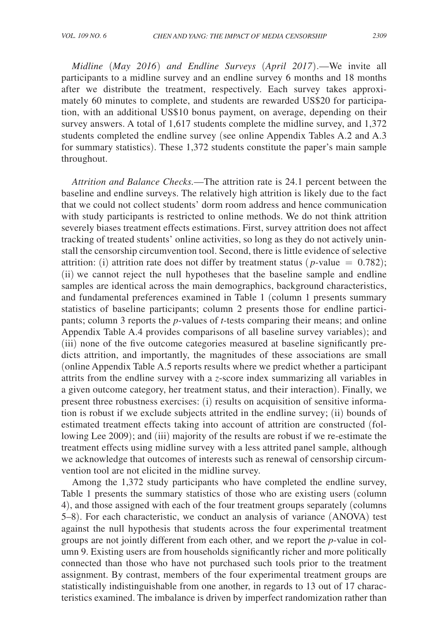*Midline* (*May 2016*) *and Endline Surveys* (*April 2017*).—We invite all participants to a midline survey and an endline survey 6 months and 18 months after we distribute the treatment, respectively. Each survey takes approximately 60 minutes to complete, and students are rewarded US\$20 for participation, with an additional US\$10 bonus payment, on average, depending on their survey answers. A total of 1,617 students complete the midline survey, and 1,372 students completed the endline survey (see online Appendix Tables A.2 and A.3 for summary statistics). These 1,372 students constitute the paper's main sample throughout.

*Attrition and Balance Checks.*—The attrition rate is 24.1 percent between the baseline and endline surveys. The relatively high attrition is likely due to the fact that we could not collect students' dorm room address and hence communication with study participants is restricted to online methods. We do not think attrition severely biases treatment effects estimations. First, survey attrition does not affect tracking of treated students' online activities, so long as they do not actively uninstall the censorship circumvention tool. Second, there is little evidence of selective attrition: (i) attrition rate does not differ by treatment status ( $p$ -value = 0.782); (ii) we cannot reject the null hypotheses that the baseline sample and endline samples are identical across the main demographics, background characteristics, and fundamental preferences examined in Table 1 (column 1 presents summary statistics of baseline participants; column 2 presents those for endline participants; column 3 reports the *p*-values of *t*-tests comparing their means; and online Appendix Table A.4 provides comparisons of all baseline survey variables); and (iii) none of the five outcome categories measured at baseline significantly predicts attrition, and importantly, the magnitudes of these associations are small (online Appendix Table A.5 reports results where we predict whether a participant attrits from the endline survey with a *z*-score index summarizing all variables in a given outcome category, her treatment status, and their interaction). Finally, we present three robustness exercises: (i) results on acquisition of sensitive information is robust if we exclude subjects attrited in the endline survey; (ii) bounds of estimated treatment effects taking into account of attrition are constructed (following Lee 2009); and (iii) majority of the results are robust if we re-estimate the treatment effects using midline survey with a less attrited panel sample, although we acknowledge that outcomes of interests such as renewal of censorship circumvention tool are not elicited in the midline survey.

Among the 1,372 study participants who have completed the endline survey, Table 1 presents the summary statistics of those who are existing users (column 4), and those assigned with each of the four treatment groups separately (columns 5–8). For each characteristic, we conduct an analysis of variance (ANOVA) test against the null hypothesis that students across the four experimental treatment groups are not jointly different from each other, and we report the *p*-value in column 9. Existing users are from households significantly richer and more politically connected than those who have not purchased such tools prior to the treatment assignment. By contrast, members of the four experimental treatment groups are statistically indistinguishable from one another, in regards to 13 out of 17 characteristics examined. The imbalance is driven by imperfect randomization rather than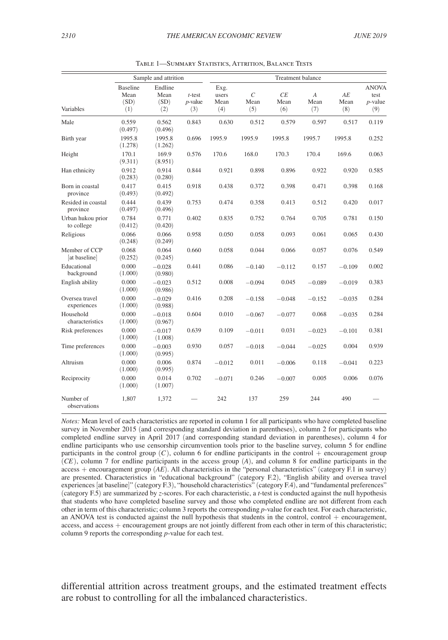|                                 | Sample and attrition                   |                                |                                | Treatment balance            |                              |                   |                                 |                   |                                           |
|---------------------------------|----------------------------------------|--------------------------------|--------------------------------|------------------------------|------------------------------|-------------------|---------------------------------|-------------------|-------------------------------------------|
| Variables                       | <b>Baseline</b><br>Mean<br>(SD)<br>(1) | Endline<br>Mean<br>(SD)<br>(2) | $t$ -test<br>$p$ -value<br>(3) | Exg.<br>users<br>Mean<br>(4) | $\mathcal{C}$<br>Mean<br>(5) | CE<br>Mean<br>(6) | $\boldsymbol{A}$<br>Mean<br>(7) | AE<br>Mean<br>(8) | <b>ANOVA</b><br>test<br>$p$ -value<br>(9) |
| Male                            | 0.559<br>(0.497)                       | 0.562<br>(0.496)               | 0.843                          | 0.630                        | 0.512                        | 0.579             | 0.597                           | 0.517             | 0.119                                     |
| Birth year                      | 1995.8<br>(1.278)                      | 1995.8<br>(1.262)              | 0.696                          | 1995.9                       | 1995.9                       | 1995.8            | 1995.7                          | 1995.8            | 0.252                                     |
| Height                          | 170.1<br>(9.311)                       | 169.9<br>(8.951)               | 0.576                          | 170.6                        | 168.0                        | 170.3             | 170.4                           | 169.6             | 0.063                                     |
| Han ethnicity                   | 0.912<br>(0.283)                       | 0.914<br>(0.280)               | 0.844                          | 0.921                        | 0.898                        | 0.896             | 0.922                           | 0.920             | 0.585                                     |
| Born in coastal<br>province     | 0.417<br>(0.493)                       | 0.415<br>(0.492)               | 0.918                          | 0.438                        | 0.372                        | 0.398             | 0.471                           | 0.398             | 0.168                                     |
| Resided in coastal<br>province  | 0.444<br>(0.497)                       | 0.439<br>(0.496)               | 0.753                          | 0.474                        | 0.358                        | 0.413             | 0.512                           | 0.420             | 0.017                                     |
| Urban hukou prior<br>to college | 0.784<br>(0.412)                       | 0.771<br>(0.420)               | 0.402                          | 0.835                        | 0.752                        | 0.764             | 0.705                           | 0.781             | 0.150                                     |
| Religious                       | 0.066<br>(0.248)                       | 0.066<br>(0.249)               | 0.958                          | 0.050                        | 0.058                        | 0.093             | 0.061                           | 0.065             | 0.430                                     |
| Member of CCP<br>at baseline    | 0.068<br>(0.252)                       | 0.064<br>(0.245)               | 0.660                          | 0.058                        | 0.044                        | 0.066             | 0.057                           | 0.076             | 0.549                                     |
| Educational<br>background       | 0.000<br>(1.000)                       | $-0.028$<br>(0.980)            | 0.441                          | 0.086                        | $-0.140$                     | $-0.112$          | 0.157                           | $-0.109$          | 0.002                                     |
| English ability                 | 0.000<br>(1.000)                       | $-0.023$<br>(0.986)            | 0.512                          | 0.008                        | $-0.094$                     | 0.045             | $-0.089$                        | $-0.019$          | 0.383                                     |
| Oversea travel<br>experiences   | 0.000<br>(1.000)                       | $-0.029$<br>(0.988)            | 0.416                          | 0.208                        | $-0.158$                     | $-0.048$          | $-0.152$                        | $-0.035$          | 0.284                                     |
| Household<br>characteristics    | 0.000<br>(1.000)                       | $-0.018$<br>(0.967)            | 0.604                          | 0.010                        | $-0.067$                     | $-0.077$          | 0.068                           | $-0.035$          | 0.284                                     |
| Risk preferences                | 0.000<br>(1.000)                       | $-0.017$<br>(1.008)            | 0.639                          | 0.109                        | $-0.011$                     | 0.031             | $-0.023$                        | $-0.101$          | 0.381                                     |
| Time preferences                | 0.000<br>(1.000)                       | $-0.003$<br>(0.995)            | 0.930                          | 0.057                        | $-0.018$                     | $-0.044$          | $-0.025$                        | 0.004             | 0.939                                     |
| Altruism                        | 0.000<br>(1.000)                       | 0.006<br>(0.995)               | 0.874                          | $-0.012$                     | 0.011                        | $-0.006$          | 0.118                           | $-0.041$          | 0.223                                     |
| Reciprocity                     | 0.000<br>(1.000)                       | 0.014<br>(1.007)               | 0.702                          | $-0.071$                     | 0.246                        | $-0.007$          | 0.005                           | 0.006             | 0.076                                     |
| Number of<br>observations       | 1,807                                  | 1,372                          |                                | 242                          | 137                          | 259               | 244                             | 490               |                                           |

Table 1—Summary Statistics, Attrition, Balance Tests

*Notes:* Mean level of each characteristics are reported in column 1 for all participants who have completed baseline survey in November 2015 (and corresponding standard deviation in parentheses), column 2 for participants who completed endline survey in April 2017 (and corresponding standard deviation in parentheses), column 4 for endline participants who use censorship circumvention tools prior to the baseline survey, column 5 for endline participants in the control group  $(C)$ , column 6 for endline participants in the control  $+$  encouragement group (*CE*), column 7 for endline participants in the access group (*A*), and column 8 for endline participants in the access + encouragement group (*AE* ). All characteristics in the "personal characteristics" (category F.1 in survey) are presented. Characteristics in "educational background" (category F.2), "English ability and oversea travel experiences [at baseline]" (category F.3), "household characteristics" (category F.4), and "fundamental preferences" (category F.5) are summarized by *z*-scores. For each characteristic, a *t*-test is conducted against the null hypothesis that students who have completed baseline survey and those who completed endline are not different from each other in term of this characteristic; column 3 reports the corresponding *p*-value for each test. For each characteristic, an ANOVA test is conducted against the null hypothesis that students in the control, control  $+$  encouragement, access, and access + encouragement groups are not jointly different from each other in term of this characteristic; column 9 reports the corresponding *p*-value for each test.

differential attrition across treatment groups, and the estimated treatment effects are robust to controlling for all the imbalanced characteristics.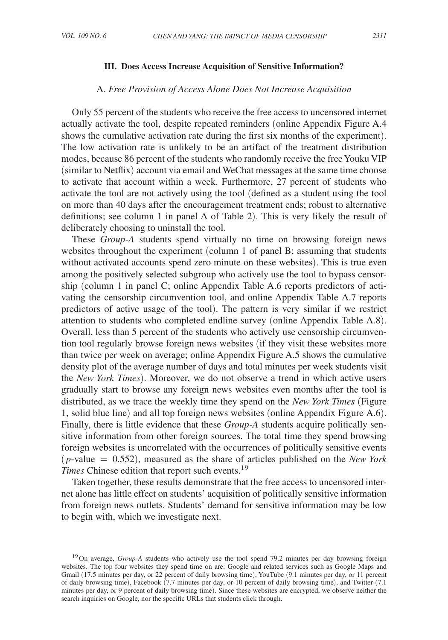### **III. Does Access Increase Acquisition of Sensitive Information?**

# A. *Free Provision of Access Alone Does Not Increase Acquisition*

Only 55 percent of the students who receive the free access to uncensored internet actually activate the tool, despite repeated reminders (online Appendix Figure A.4 shows the cumulative activation rate during the first six months of the experiment). The low activation rate is unlikely to be an artifact of the treatment distribution modes, because 86 percent of the students who randomly receive the free Youku VIP (similar to Netflix) account via email and WeChat messages at the same time choose to activate that account within a week. Furthermore, 27 percent of students who activate the tool are not actively using the tool (defined as a student using the tool on more than 40 days after the encouragement treatment ends; robust to alternative definitions; see column 1 in panel A of Table 2). This is very likely the result of deliberately choosing to uninstall the tool.

These *Group-A* students spend virtually no time on browsing foreign news websites throughout the experiment (column 1 of panel B; assuming that students without activated accounts spend zero minute on these websites). This is true even among the positively selected subgroup who actively use the tool to bypass censorship (column 1 in panel C; online Appendix Table A.6 reports predictors of activating the censorship circumvention tool, and online Appendix Table A.7 reports predictors of active usage of the tool). The pattern is very similar if we restrict attention to students who completed endline survey (online Appendix Table A.8). Overall, less than 5 percent of the students who actively use censorship circumvention tool regularly browse foreign news websites (if they visit these websites more than twice per week on average; online Appendix Figure A.5 shows the cumulative density plot of the average number of days and total minutes per week students visit the *New York Times*). Moreover, we do not observe a trend in which active users gradually start to browse any foreign news websites even months after the tool is distributed, as we trace the weekly time they spend on the *New York Times* (Figure 1, solid blue line) and all top foreign news websites (online Appendix Figure A.6). Finally, there is little evidence that these *Group-A* students acquire politically sensitive information from other foreign sources. The total time they spend browsing foreign websites is uncorrelated with the occurrences of politically sensitive events (*p*-value = 0.552), measured as the share of articles published on the *New York Times* Chinese edition that report such events.<sup>19</sup>

Taken together, these results demonstrate that the free access to uncensored internet alone has little effect on students' acquisition of politically sensitive information from foreign news outlets. Students' demand for sensitive information may be low to begin with, which we investigate next.

<sup>&</sup>lt;sup>19</sup>On average, *Group-A* students who actively use the tool spend 79.2 minutes per day browsing foreign websites. The top four websites they spend time on are: Google and related services such as Google Maps and Gmail (17.5 minutes per day, or 22 percent of daily browsing time), YouTube (9.1 minutes per day, or 11 percent of daily browsing time), Facebook (7.7 minutes per day, or 10 percent of daily browsing time), and Twitter (7.1 minutes per day, or 9 percent of daily browsing time). Since these websites are encrypted, we observe neither the search inquiries on Google, nor the specific URLs that students click through.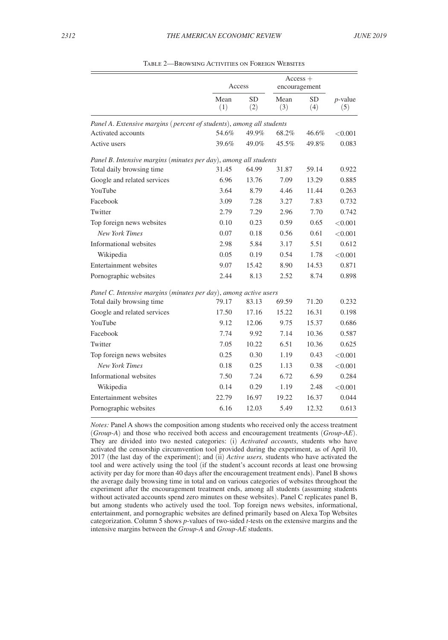|                                                                      | Access      |                  | $Access +$<br>encouragement |                  |                   |
|----------------------------------------------------------------------|-------------|------------------|-----------------------------|------------------|-------------------|
|                                                                      | Mean<br>(1) | <b>SD</b><br>(2) | Mean<br>(3)                 | <b>SD</b><br>(4) | $p$ -value<br>(5) |
| Panel A. Extensive margins (percent of students), among all students |             |                  |                             |                  |                   |
| Activated accounts                                                   | 54.6%       | 49.9%            | 68.2%                       | 46.6%            | < 0.001           |
| Active users                                                         | 39.6%       | 49.0%            | $45.5\%$                    | 49.8%            | 0.083             |
| Panel B. Intensive margins (minutes per day), among all students     |             |                  |                             |                  |                   |
| Total daily browsing time                                            | 31.45       | 64.99            | 31.87                       | 59.14            | 0.922             |
| Google and related services                                          | 6.96        | 13.76            | 7.09                        | 13.29            | 0.885             |
| YouTube                                                              | 3.64        | 8.79             | 4.46                        | 11.44            | 0.263             |
| Facebook                                                             | 3.09        | 7.28             | 3.27                        | 7.83             | 0.732             |
| Twitter                                                              | 2.79        | 7.29             | 2.96                        | 7.70             | 0.742             |
| Top foreign news websites                                            | 0.10        | 0.23             | 0.59                        | 0.65             | < 0.001           |
| <b>New York Times</b>                                                | 0.07        | 0.18             | 0.56                        | 0.61             | < 0.001           |
| Informational websites                                               | 2.98        | 5.84             | 3.17                        | 5.51             | 0.612             |
| Wikipedia                                                            | 0.05        | 0.19             | 0.54                        | 1.78             | < 0.001           |
| Entertainment websites                                               | 9.07        | 15.42            | 8.90                        | 14.53            | 0.871             |
| Pornographic websites                                                | 2.44        | 8.13             | 2.52                        | 8.74             | 0.898             |
| Panel C. Intensive margins (minutes per day), among active users     |             |                  |                             |                  |                   |
| Total daily browsing time                                            | 79.17       | 83.13            | 69.59                       | 71.20            | 0.232             |
| Google and related services                                          | 17.50       | 17.16            | 15.22                       | 16.31            | 0.198             |
| YouTube                                                              | 9.12        | 12.06            | 9.75                        | 15.37            | 0.686             |
| Facebook                                                             | 7.74        | 9.92             | 7.14                        | 10.36            | 0.587             |
| Twitter                                                              | 7.05        | 10.22            | 6.51                        | 10.36            | 0.625             |
| Top foreign news websites                                            | 0.25        | 0.30             | 1.19                        | 0.43             | < 0.001           |
| <b>New York Times</b>                                                | 0.18        | 0.25             | 1.13                        | 0.38             | < 0.001           |
| Informational websites                                               | 7.50        | 7.24             | 6.72                        | 6.59             | 0.284             |
| Wikipedia                                                            | 0.14        | 0.29             | 1.19                        | 2.48             | < 0.001           |
| Entertainment websites                                               | 22.79       | 16.97            | 19.22                       | 16.37            | 0.044             |
| Pornographic websites                                                | 6.16        | 12.03            | 5.49                        | 12.32            | 0.613             |

Table 2—Browsing Activities on Foreign Websites

*Notes:* Panel A shows the composition among students who received only the access treatment (*Group-A*) and those who received both access and encouragement treatments (*Group-AE*). They are divided into two nested categories: (i) *Activated accounts*, students who have activated the censorship circumvention tool provided during the experiment, as of April 10, 2017 (the last day of the experiment); and (ii) *Active users,* students who have activated the tool and were actively using the tool (if the student's account records at least one browsing activity per day for more than 40 days after the encouragement treatment ends). Panel B shows the average daily browsing time in total and on various categories of websites throughout the experiment after the encouragement treatment ends, among all students (assuming students without activated accounts spend zero minutes on these websites). Panel C replicates panel B, but among students who actively used the tool. Top foreign news websites, informational, entertainment, and pornographic websites are defined primarily based on Alexa Top Websites categorization. Column 5 shows *p*-values of two-sided *t*-tests on the extensive margins and the intensive margins between the *Group-A* and *Group-AE* students.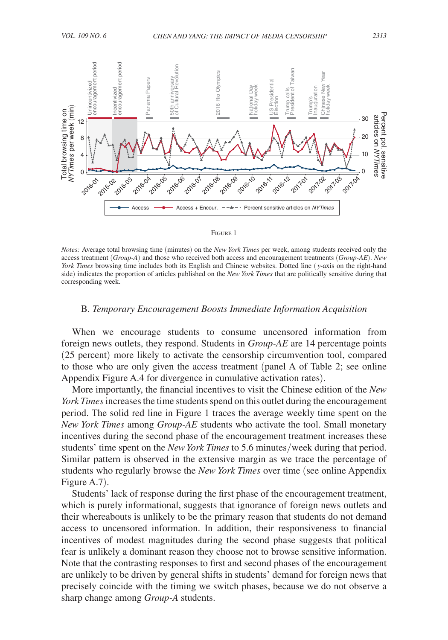

#### Figure 1

*Notes:* Average total browsing time (minutes) on the *New York Times* per week, among students received only the access treatment (*Group-A*) and those who received both access and encouragement treatments (*Group-AE*). *New York Times* browsing time includes both its English and Chinese websites. Dotted line ( *y*-axis on the right-hand side) indicates the proportion of articles published on the *New York Times* that are politically sensitive during that corresponding week.

# B. *Temporary Encouragement Boosts Immediate Information Acquisition*

When we encourage students to consume uncensored information from foreign news outlets, they respond. Students in *Group-AE* are 14 percentage points (25 percent) more likely to activate the censorship circumvention tool, compared to those who are only given the access treatment (panel A of Table 2; see online Appendix Figure A.4 for divergence in cumulative activation rates).

More importantly, the financial incentives to visit the Chinese edition of the *New York Times* increases the time students spend on this outlet during the encouragement period. The solid red line in Figure 1 traces the average weekly time spent on the *New York Times* among *Group-AE* students who activate the tool. Small monetary incentives during the second phase of the encouragement treatment increases these students' time spent on the *New York Times* to 5.6 minutes/week during that period. Similar pattern is observed in the extensive margin as we trace the percentage of students who regularly browse the *New York Times* over time (see online Appendix Figure A.7).

Students' lack of response during the first phase of the encouragement treatment, which is purely informational, suggests that ignorance of foreign news outlets and their whereabouts is unlikely to be the primary reason that students do not demand access to uncensored information. In addition, their responsiveness to financial incentives of modest magnitudes during the second phase suggests that political fear is unlikely a dominant reason they choose not to browse sensitive information. Note that the contrasting responses to first and second phases of the encouragement are unlikely to be driven by general shifts in students' demand for foreign news that precisely coincide with the timing we switch phases, because we do not observe a sharp change among *Group-A* students.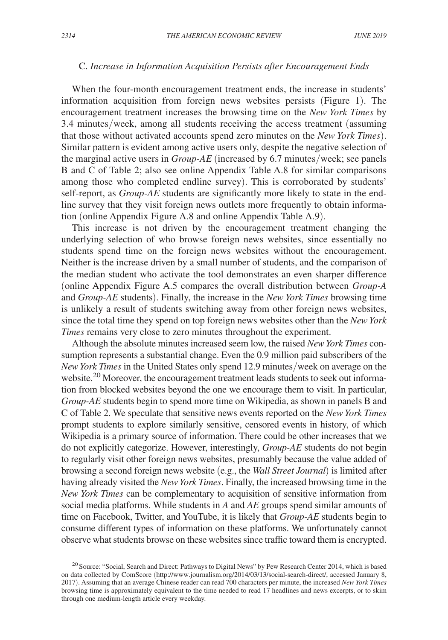# C. *Increase in Information Acquisition Persists after Encouragement Ends*

When the four-month encouragement treatment ends, the increase in students' information acquisition from foreign news websites persists (Figure 1). The encouragement treatment increases the browsing time on the *New York Times* by 3.4 minutes/week, among all students receiving the access treatment (assuming that those without activated accounts spend zero minutes on the *New York Times*). Similar pattern is evident among active users only, despite the negative selection of the marginal active users in *Group-AE* (increased by 6.7 minutes/week; see panels B and C of Table 2; also see online Appendix Table A.8 for similar comparisons among those who completed endline survey). This is corroborated by students' self-report, as *Group-AE* students are significantly more likely to state in the endline survey that they visit foreign news outlets more frequently to obtain information (online Appendix Figure A.8 and online Appendix Table A.9).

This increase is not driven by the encouragement treatment changing the underlying selection of who browse foreign news websites, since essentially no students spend time on the foreign news websites without the encouragement. Neither is the increase driven by a small number of students, and the comparison of the median student who activate the tool demonstrates an even sharper difference (online Appendix Figure A.5 compares the overall distribution between *Group-A* and *Group-AE* students). Finally, the increase in the *New York Times* browsing time is unlikely a result of students switching away from other foreign news websites, since the total time they spend on top foreign news websites other than the *New York Times* remains very close to zero minutes throughout the experiment.

Although the absolute minutes increased seem low, the raised *New York Times* consumption represents a substantial change. Even the 0.9 million paid subscribers of the *New York Times* in the United States only spend 12.9 minutes/week on average on the website.<sup>20</sup> Moreover, the encouragement treatment leads students to seek out information from blocked websites beyond the one we encourage them to visit. In particular, *Group-AE* students begin to spend more time on Wikipedia, as shown in panels B and C of Table 2. We speculate that sensitive news events reported on the *New York Times* prompt students to explore similarly sensitive, censored events in history, of which Wikipedia is a primary source of information. There could be other increases that we do not explicitly categorize. However, interestingly, *Group-AE* students do not begin to regularly visit other foreign news websites, presumably because the value added of browsing a second foreign news website (e.g., the *Wall Street Journal*) is limited after having already visited the *New York Times*. Finally, the increased browsing time in the *New York Times* can be complementary to acquisition of sensitive information from social media platforms. While students in *A* and *AE* groups spend similar amounts of time on Facebook, Twitter, and YouTube, it is likely that *Group-AE* students begin to consume different types of information on these platforms. We unfortunately cannot observe what students browse on these websites since traffic toward them is encrypted.

<sup>&</sup>lt;sup>20</sup> Source: "Social, Search and Direct: Pathways to Digital News" by Pew Research Center 2014, which is based on data collected by ComScore (http://www.journalism.org/2014/03/13/social-search-direct/, accessed January 8, 2017). Assuming that an average Chinese reader can read 700 characters per minute, the increased *New York Times* browsing time is approximately equivalent to the time needed to read 17 headlines and news excerpts, or to skim through one medium-length article every weekday.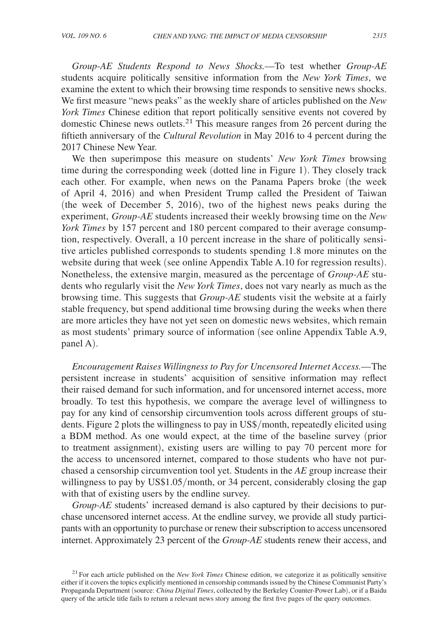*Group-AE Students Respond to News Shocks.*—To test whether *Group-AE* students acquire politically sensitive information from the *New York Times*, we examine the extent to which their browsing time responds to sensitive news shocks. We first measure "news peaks" as the weekly share of articles published on the *New York Times* Chinese edition that report politically sensitive events not covered by domestic Chinese news outlets.21 This measure ranges from 26 percent during the fiftieth anniversary of the *Cultural Revolution* in May 2016 to 4 percent during the 2017 Chinese New Year.

We then superimpose this measure on students' *New York Times* browsing time during the corresponding week (dotted line in Figure 1). They closely track each other. For example, when news on the Panama Papers broke (the week of April 4, 2016) and when President Trump called the President of Taiwan (the week of December 5, 2016), two of the highest news peaks during the experiment, *Group-AE* students increased their weekly browsing time on the *New York Times* by 157 percent and 180 percent compared to their average consumption, respectively. Overall, a 10 percent increase in the share of politically sensitive articles published corresponds to students spending 1.8 more minutes on the website during that week (see online Appendix Table A.10 for regression results). Nonetheless, the extensive margin, measured as the percentage of *Group-AE* students who regularly visit the *New York Times*, does not vary nearly as much as the browsing time. This suggests that *Group-AE* students visit the website at a fairly stable frequency, but spend additional time browsing during the weeks when there are more articles they have not yet seen on domestic news websites, which remain as most students' primary source of information (see online Appendix Table A.9, panel A).

*Encouragement Raises Willingness to Pay for Uncensored Internet Access.*— The persistent increase in students' acquisition of sensitive information may reflect their raised demand for such information, and for uncensored internet access, more broadly. To test this hypothesis, we compare the average level of willingness to pay for any kind of censorship circumvention tools across different groups of students. Figure 2 plots the willingness to pay in US\$/month, repeatedly elicited using a BDM method. As one would expect, at the time of the baseline survey (prior to treatment assignment), existing users are willing to pay 70 percent more for the access to uncensored internet, compared to those students who have not purchased a censorship circumvention tool yet. Students in the *AE* group increase their willingness to pay by US\$1.05/month, or 34 percent, considerably closing the gap with that of existing users by the endline survey.

*Group-AE* students' increased demand is also captured by their decisions to purchase uncensored internet access. At the endline survey, we provide all study participants with an opportunity to purchase or renew their subscription to access uncensored internet. Approximately 23 percent of the *Group-AE* students renew their access, and

<sup>&</sup>lt;sup>21</sup> For each article published on the *New York Times* Chinese edition, we categorize it as politically sensitive either if it covers the topics explicitly mentioned in censorship commands issued by the Chinese Communist Party's Propaganda Department (source: *China Digital Times*, collected by the Berkeley Counter-Power Lab), or if a Baidu query of the article title fails to return a relevant news story among the first five pages of the query outcomes.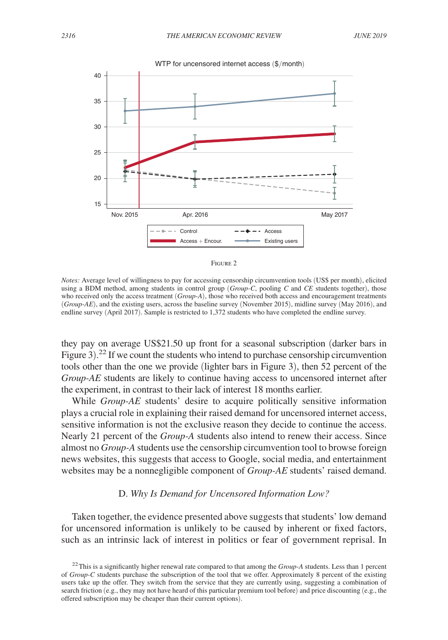



*Notes:* Average level of willingness to pay for accessing censorship circumvention tools (US\$ per month), elicited using a BDM method, among students in control group (*Group-C*, pooling *C* and *CE* students together), those who received only the access treatment (*Group-A*), those who received both access and encouragement treatments (*Group-AE*), and the existing users, across the baseline survey (November 2015), midline survey (May 2016), and endline survey (April 2017). Sample is restricted to 1,372 students who have completed the endline survey.

they pay on average US\$21.50 up front for a seasonal subscription (darker bars in Figure 3).<sup>22</sup> If we count the students who intend to purchase censorship circumvention tools other than the one we provide (lighter bars in Figure 3), then 52 percent of the *Group-AE* students are likely to continue having access to uncensored internet after the experiment, in contrast to their lack of interest 18 months earlier.

While *Group-AE* students' desire to acquire politically sensitive information plays a crucial role in explaining their raised demand for uncensored internet access, sensitive information is not the exclusive reason they decide to continue the access. Nearly 21 percent of the *Group-A* students also intend to renew their access. Since almost no *Group-A* students use the censorship circumvention tool to browse foreign news websites, this suggests that access to Google, social media, and entertainment websites may be a nonnegligible component of *Group-AE* students' raised demand.

# D. *Why Is Demand for Uncensored Information Low?*

Taken together, the evidence presented above suggests that students' low demand for uncensored information is unlikely to be caused by inherent or fixed factors, such as an intrinsic lack of interest in politics or fear of government reprisal. In

<sup>22</sup>This is a significantly higher renewal rate compared to that among the *Group-A* students. Less than 1 percent of *Group-C* students purchase the subscription of the tool that we offer. Approximately 8 percent of the existing users take up the offer. They switch from the service that they are currently using, suggesting a combination of search friction (e.g., they may not have heard of this particular premium tool before) and price discounting (e.g., the offered subscription may be cheaper than their current options).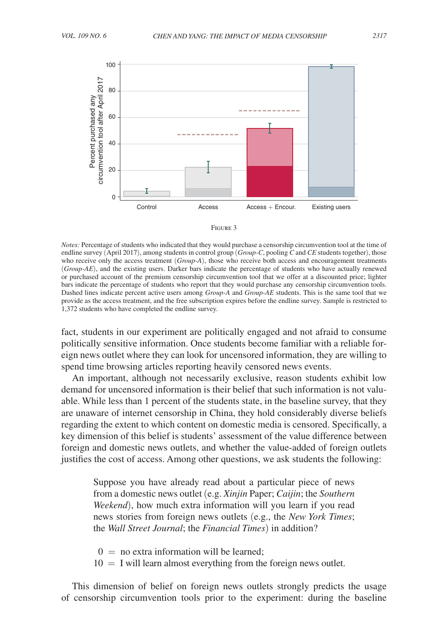



*Notes:* Percentage of students who indicated that they would purchase a censorship circumvention tool at the time of endline survey (April 2017), among students in control group (*Group-C*, pooling *C* and *CE* students together), those who receive only the access treatment (*Group-A*), those who receive both access and encouragement treatments (*Group-AE*), and the existing users. Darker bars indicate the percentage of students who have actually renewed or purchased account of the premium censorship circumvention tool that we offer at a discounted price; lighter bars indicate the percentage of students who report that they would purchase any censorship circumvention tools. Dashed lines indicate percent active users among *Group-A* and *Group-AE* students. This is the same tool that we provide as the access treatment, and the free subscription expires before the endline survey. Sample is restricted to 1,372 students who have completed the endline survey.

fact, students in our experiment are politically engaged and not afraid to consume politically sensitive information. Once students become familiar with a reliable foreign news outlet where they can look for uncensored information, they are willing to spend time browsing articles reporting heavily censored news events.

An important, although not necessarily exclusive, reason students exhibit low demand for uncensored information is their belief that such information is not valuable. While less than 1 percent of the students state, in the baseline survey, that they are unaware of internet censorship in China, they hold considerably diverse beliefs regarding the extent to which content on domestic media is censored. Specifically, a key dimension of this belief is students' assessment of the value difference between foreign and domestic news outlets, and whether the value-added of foreign outlets justifies the cost of access. Among other questions, we ask students the following:

Suppose you have already read about a particular piece of news from a domestic news outlet (e.g. *Xinjin* Paper; *Caijin*; the *Southern Weekend*), how much extra information will you learn if you read news stories from foreign news outlets (e.g., the *New York Times*; the *Wall Street Journal*; the *Financial Times*) in addition?

- $0 =$  no extra information will be learned:
- $10 = I$  will learn almost everything from the foreign news outlet.

This dimension of belief on foreign news outlets strongly predicts the usage of censorship circumvention tools prior to the experiment: during the baseline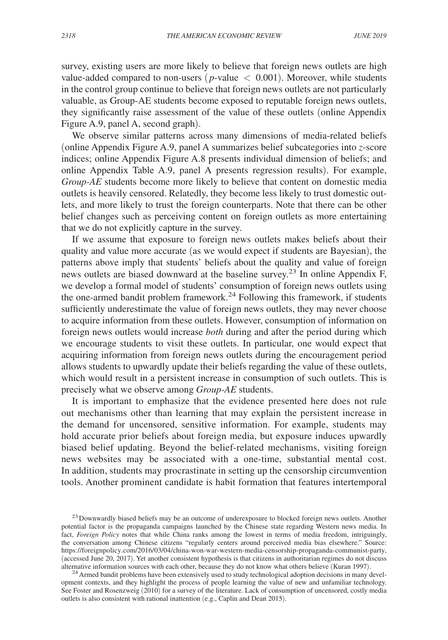survey, existing users are more likely to believe that foreign news outlets are high value-added compared to non-users ( $p$ -value  $\langle 0.001 \rangle$ ). Moreover, while students in the control group continue to believe that foreign news outlets are not particularly valuable, as Group-AE students become exposed to reputable foreign news outlets, they significantly raise assessment of the value of these outlets (online Appendix Figure A.9, panel A, second graph).

We observe similar patterns across many dimensions of media-related beliefs (online Appendix Figure A.9, panel A summarizes belief subcategories into *z*-score indices; online Appendix Figure A.8 presents individual dimension of beliefs; and online Appendix Table A.9, panel A presents regression results). For example, *Group-AE* students become more likely to believe that content on domestic media outlets is heavily censored. Relatedly, they become less likely to trust domestic outlets, and more likely to trust the foreign counterparts. Note that there can be other belief changes such as perceiving content on foreign outlets as more entertaining that we do not explicitly capture in the survey.

If we assume that exposure to foreign news outlets makes beliefs about their quality and value more accurate (as we would expect if students are Bayesian), the patterns above imply that students' beliefs about the quality and value of foreign news outlets are biased downward at the baseline survey.<sup>23</sup> In online Appendix F, we develop a formal model of students' consumption of foreign news outlets using the one-armed bandit problem framework.<sup>24</sup> Following this framework, if students sufficiently underestimate the value of foreign news outlets, they may never choose to acquire information from these outlets. However, consumption of information on foreign news outlets would increase *both* during and after the period during which we encourage students to visit these outlets. In particular, one would expect that acquiring information from foreign news outlets during the encouragement period allows students to upwardly update their beliefs regarding the value of these outlets, which would result in a persistent increase in consumption of such outlets. This is precisely what we observe among *Group-AE* students.

It is important to emphasize that the evidence presented here does not rule out mechanisms other than learning that may explain the persistent increase in the demand for uncensored, sensitive information. For example, students may hold accurate prior beliefs about foreign media, but exposure induces upwardly biased belief updating. Beyond the belief-related mechanisms, visiting foreign news websites may be associated with a one-time, substantial mental cost. In addition, students may procrastinate in setting up the censorship circumvention tools. Another prominent candidate is habit formation that features intertemporal

<sup>&</sup>lt;sup>23</sup> Downwardly biased beliefs may be an outcome of underexposure to blocked foreign news outlets. Another potential factor is the propaganda campaigns launched by the Chinese state regarding Western news media. In fact, *Foreign Policy* notes that while China ranks among the lowest in terms of media freedom, intriguingly, the conversation among Chinese citizens "regularly centers around perceived media bias elsewhere." Source: https://foreignpolicy.com/2016/03/04/china-won-war-western-media-censorship-propaganda-communist-party, (accessed June 20, 2017). Yet another consistent hypothesis is that citizens in authoritarian regimes do not discuss alternative information sources with each other, because they do not know what others believe (Kuran 1997).

<sup>&</sup>lt;sup>24</sup> Armed bandit problems have been extensively used to study technological adoption decisions in many development contexts, and they highlight the process of people learning the value of new and unfamiliar technology. See Foster and Rosenzweig (2010) for a survey of the literature. Lack of consumption of uncensored, costly media outlets is also consistent with rational inattention (e.g., Caplin and Dean 2015).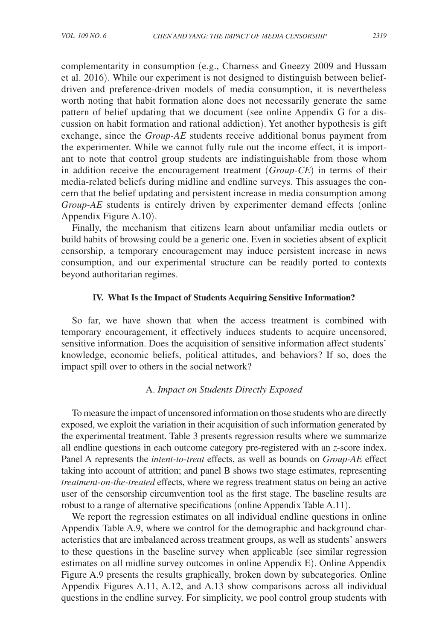complementarity in consumption (e.g., Charness and Gneezy 2009 and Hussam et al. 2016). While our experiment is not designed to distinguish between beliefdriven and preference-driven models of media consumption, it is nevertheless worth noting that habit formation alone does not necessarily generate the same pattern of belief updating that we document (see online Appendix G for a discussion on habit formation and rational addiction). Yet another hypothesis is gift exchange, since the *Group-AE* students receive additional bonus payment from the experimenter. While we cannot fully rule out the income effect, it is important to note that control group students are indistinguishable from those whom in addition receive the encouragement treatment (*Group-CE*) in terms of their media-related beliefs during midline and endline surveys. This assuages the concern that the belief updating and persistent increase in media consumption among *Group-AE* students is entirely driven by experimenter demand effects (online Appendix Figure A.10).

Finally, the mechanism that citizens learn about unfamiliar media outlets or build habits of browsing could be a generic one. Even in societies absent of explicit censorship, a temporary encouragement may induce persistent increase in news consumption, and our experimental structure can be readily ported to contexts beyond authoritarian regimes.

# **IV. What Is the Impact of Students Acquiring Sensitive Information?**

So far, we have shown that when the access treatment is combined with temporary encouragement, it effectively induces students to acquire uncensored, sensitive information. Does the acquisition of sensitive information affect students' knowledge, economic beliefs, political attitudes, and behaviors? If so, does the impact spill over to others in the social network?

# A. *Impact on Students Directly Exposed*

To measure the impact of uncensored information on those students who are directly exposed, we exploit the variation in their acquisition of such information generated by the experimental treatment. Table 3 presents regression results where we summarize all endline questions in each outcome category pre-registered with an *z*-score index. Panel A represents the *intent-to-treat* effects, as well as bounds on *Group-AE* effect taking into account of attrition; and panel B shows two stage estimates, representing *treatment-on-the-treated* effects, where we regress treatment status on being an active user of the censorship circumvention tool as the first stage. The baseline results are robust to a range of alternative specifications (online Appendix Table A.11).

We report the regression estimates on all individual endline questions in online Appendix Table A.9, where we control for the demographic and background characteristics that are imbalanced across treatment groups, as well as students' answers to these questions in the baseline survey when applicable (see similar regression estimates on all midline survey outcomes in online Appendix E). Online Appendix Figure A.9 presents the results graphically, broken down by subcategories. Online Appendix Figures A.11, A.12, and A.13 show comparisons across all individual questions in the endline survey. For simplicity, we pool control group students with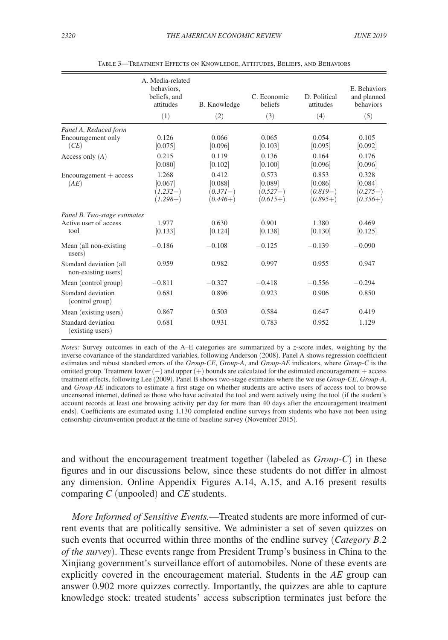|                                                               | A. Media-related<br>behaviors.<br>beliefs, and<br>attitudes | B. Knowledge                                 | C. Economic<br>beliefs                       | D. Political<br>attitudes                    | E. Behaviors<br>and planned<br>behaviors     |
|---------------------------------------------------------------|-------------------------------------------------------------|----------------------------------------------|----------------------------------------------|----------------------------------------------|----------------------------------------------|
|                                                               | (1)                                                         | (2)                                          | (3)                                          | (4)                                          | (5)                                          |
| Panel A. Reduced form<br>Encouragement only<br>(CE)           | 0.126<br>[0.075]                                            | 0.066<br>[0.096]                             | 0.065<br>[0.103]                             | 0.054<br>[0.095]                             | 0.105<br>[0.092]                             |
| Access only $(A)$                                             | 0.215<br>[0.080]                                            | 0.119<br>[0.102]                             | 0.136<br>[0.100]                             | 0.164<br>[0.096]                             | 0.176<br>[0.096]                             |
| $Encouragement + access$<br>(AE)                              | 1.268<br>[0.067]<br>$(1.232-)$<br>$(1.298+)$                | 0.412<br>[0.088]<br>$(0.371-)$<br>$(0.446+)$ | 0.573<br>[0.089]<br>$(0.527-)$<br>$(0.615+)$ | 0.853<br>[0.086]<br>$(0.819-)$<br>$(0.895+)$ | 0.328<br>[0.084]<br>$(0.275-)$<br>$(0.356+)$ |
| Panel B. Two-stage estimates<br>Active user of access<br>tool | 1.977<br>[0.133]                                            | 0.630<br>[0.124]                             | 0.901<br>[0.138]                             | 1.380<br>[0.130]                             | 0.469<br>[0.125]                             |
| Mean (all non-existing)<br>users)                             | $-0.186$                                                    | $-0.108$                                     | $-0.125$                                     | $-0.139$                                     | $-0.090$                                     |
| Standard deviation (all<br>non-existing users)                | 0.959                                                       | 0.982                                        | 0.997                                        | 0.955                                        | 0.947                                        |
| Mean (control group)                                          | $-0.811$                                                    | $-0.327$                                     | $-0.418$                                     | $-0.556$                                     | $-0.294$                                     |
| Standard deviation<br>(control group)                         | 0.681                                                       | 0.896                                        | 0.923                                        | 0.906                                        | 0.850                                        |
| Mean (existing users)                                         | 0.867                                                       | 0.503                                        | 0.584                                        | 0.647                                        | 0.419                                        |
| Standard deviation<br>(existing users)                        | 0.681                                                       | 0.931                                        | 0.783                                        | 0.952                                        | 1.129                                        |

Table 3—Treatment Effects on Knowledge, Attitudes, Beliefs, and Behaviors

*Notes:* Survey outcomes in each of the A–E categories are summarized by a *z*-score index, weighting by the inverse covariance of the standardized variables, following Anderson (2008). Panel A shows regression coefficient estimates and robust standard errors of the *Group-CE*, *Group-A*, and *Group-AE* indicators, where *Group-C* is the omitted group. Treatment lower (−) and upper (+) bounds are calculated for the estimated encouragement + access treatment effects, following Lee (2009). Panel B shows two-stage estimates where the we use *Group-CE*, *Group-A*, and *Group-AE* indicators to estimate a first stage on whether students are active users of access tool to browse uncensored internet, defined as those who have activated the tool and were actively using the tool (if the student's account records at least one browsing activity per day for more than 40 days after the encouragement treatment ends). Coefficients are estimated using 1,130 completed endline surveys from students who have not been using censorship circumvention product at the time of baseline survey (November 2015).

and without the encouragement treatment together (labeled as *Group-C*) in these figures and in our discussions below, since these students do not differ in almost any dimension. Online Appendix Figures A.14, A.15, and A.16 present results comparing *C* (unpooled) and *CE* students.

*More Informed of Sensitive Events.*—Treated students are more informed of current events that are politically sensitive. We administer a set of seven quizzes on such events that occurred within three months of the endline survey (*Category B.*2 *of the survey*). These events range from President Trump's business in China to the Xinjiang government's surveillance effort of automobiles. None of these events are explicitly covered in the encouragement material. Students in the *AE* group can answer 0.902 more quizzes correctly. Importantly, the quizzes are able to capture knowledge stock: treated students' access subscription terminates just before the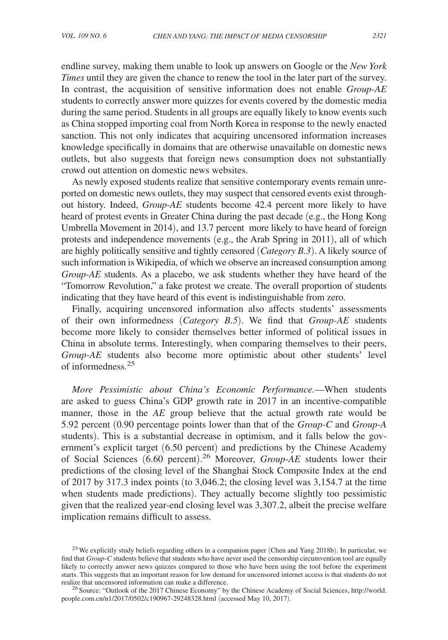endline survey, making them unable to look up answers on Google or the *New York Times* until they are given the chance to renew the tool in the later part of the survey. In contrast, the acquisition of sensitive information does not enable *Group-AE* students to correctly answer more quizzes for events covered by the domestic media during the same period. Students in all groups are equally likely to know events such as China stopped importing coal from North Korea in response to the newly enacted sanction. This not only indicates that acquiring uncensored information increases knowledge specifically in domains that are otherwise unavailable on domestic news outlets, but also suggests that foreign news consumption does not substantially crowd out attention on domestic news websites.

As newly exposed students realize that sensitive contemporary events remain unreported on domestic news outlets, they may suspect that censored events exist throughout history. Indeed, *Group-AE* students become 42.4 percent more likely to have heard of protest events in Greater China during the past decade (e.g., the Hong Kong Umbrella Movement in 2014), and 13.7 percent more likely to have heard of foreign protests and independence movements (e.g., the Arab Spring in 2011), all of which are highly politically sensitive and tightly censored (*Category B.3* ). A likely source of such information is Wikipedia, of which we observe an increased consumption among *Group-AE* students. As a placebo, we ask students whether they have heard of the "Tomorrow Revolution," a fake protest we create. The overall proportion of students indicating that they have heard of this event is indistinguishable from zero.

Finally, acquiring uncensored information also affects students' assessments of their own informedness (*Category B.5*). We find that *Group-AE* students become more likely to consider themselves better informed of political issues in China in absolute terms. Interestingly, when comparing themselves to their peers, *Group-AE* students also become more optimistic about other students' level of informedness.<sup>25</sup>

*More Pessimistic about China's Economic Performance.*—When students are asked to guess China's GDP growth rate in 2017 in an incentive-compatible manner, those in the *AE* group believe that the actual growth rate would be 5.92 percent (0.90 percentage points lower than that of the *Group-C* and *Group-A* students). This is a substantial decrease in optimism, and it falls below the government's explicit target (6.50 percent) and predictions by the Chinese Academy of Social Sciences (6.60 percent). <sup>26</sup> Moreover, *Group-AE* students lower their predictions of the closing level of the Shanghai Stock Composite Index at the end of 2017 by 317.3 index points (to 3,046.2; the closing level was 3,154.7 at the time when students made predictions). They actually become slightly too pessimistic given that the realized year-end closing level was 3,307.2, albeit the precise welfare implication remains difficult to assess.

<sup>&</sup>lt;sup>25</sup> We explicitly study beliefs regarding others in a companion paper (Chen and Yang 2018b). In particular, we find that *Group-C* students believe that students who have never used the censorship circumvention tool are equally likely to correctly answer news quizzes compared to those who have been using the tool before the experiment starts. This suggests that an important reason for low demand for uncensored internet access is that students do not realize that uncensored information can make a difference.

<sup>&</sup>lt;sup>26</sup> Source: "Outlook of the 2017 Chinese Economy" by the Chinese Academy of Social Sciences, http://world. people.com.cn/n1/2017/0502/c190967-29248328.html (accessed May 10, 2017).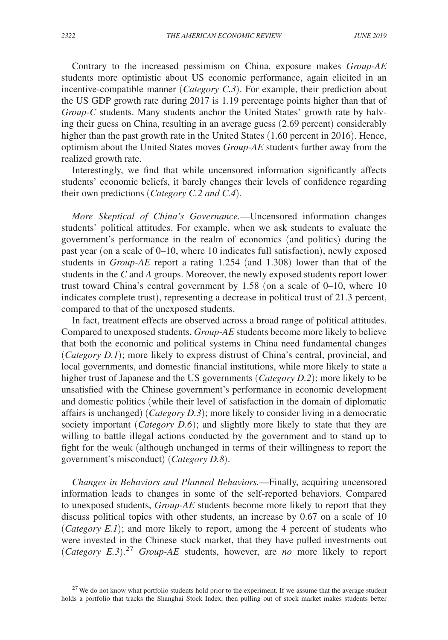Contrary to the increased pessimism on China, exposure makes *Group-AE* students more optimistic about US economic performance, again elicited in an incentive-compatible manner (*Category C.3*). For example, their prediction about the US GDP growth rate during 2017 is 1.19 percentage points higher than that of *Group-C* students. Many students anchor the United States' growth rate by halving their guess on China, resulting in an average guess (2.69 percent) considerably higher than the past growth rate in the United States (1.60 percent in 2016). Hence, optimism about the United States moves *Group-AE* students further away from the realized growth rate.

Interestingly, we find that while uncensored information significantly affects students' economic beliefs, it barely changes their levels of confidence regarding their own predictions (*Category C.2 and C.4*).

*More Skeptical of China's Governance.*—Uncensored information changes students' political attitudes. For example, when we ask students to evaluate the government's performance in the realm of economics (and politics) during the past year (on a scale of 0–10, where 10 indicates full satisfaction), newly exposed students in *Group-AE* report a rating 1.254 (and 1.308) lower than that of the students in the *C* and *A* groups. Moreover, the newly exposed students report lower trust toward China's central government by 1.58 (on a scale of 0–10, where 10 indicates complete trust), representing a decrease in political trust of 21.3 percent, compared to that of the unexposed students.

In fact, treatment effects are observed across a broad range of political attitudes. Compared to unexposed students, *Group-AE* students become more likely to believe that both the economic and political systems in China need fundamental changes (*Category D.1*); more likely to express distrust of China's central, provincial, and local governments, and domestic financial institutions, while more likely to state a higher trust of Japanese and the US governments (*Category D.2*); more likely to be unsatisfied with the Chinese government's performance in economic development and domestic politics (while their level of satisfaction in the domain of diplomatic affairs is unchanged) (*Category D.3*); more likely to consider living in a democratic society important (*Category D.6*); and slightly more likely to state that they are willing to battle illegal actions conducted by the government and to stand up to fight for the weak (although unchanged in terms of their willingness to report the government's misconduct) (*Category D.8*).

*Changes in Behaviors and Planned Behaviors.*—Finally, acquiring uncensored information leads to changes in some of the self-reported behaviors. Compared to unexposed students, *Group-AE* students become more likely to report that they discuss political topics with other students, an increase by 0.67 on a scale of 10 (*Category E.1*); and more likely to report, among the 4 percent of students who were invested in the Chinese stock market, that they have pulled investments out (*Category E.3*). <sup>27</sup> *Group-AE* students, however, are *no* more likely to report

<sup>&</sup>lt;sup>27</sup>We do not know what portfolio students hold prior to the experiment. If we assume that the average student holds a portfolio that tracks the Shanghai Stock Index, then pulling out of stock market makes students better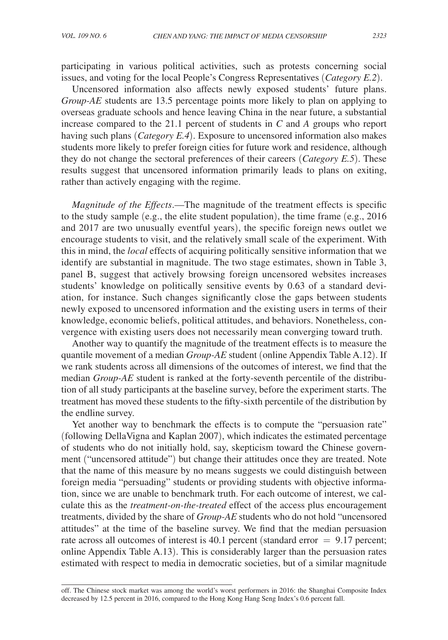participating in various political activities, such as protests concerning social issues, and voting for the local People's Congress Representatives (*Category E.2*).

Uncensored information also affects newly exposed students' future plans. *Group-AE* students are 13.5 percentage points more likely to plan on applying to overseas graduate schools and hence leaving China in the near future, a substantial increase compared to the 21.1 percent of students in *C* and *A* groups who report having such plans (*Category E.4*). Exposure to uncensored information also makes students more likely to prefer foreign cities for future work and residence, although they do not change the sectoral preferences of their careers (*Category E.5*). These results suggest that uncensored information primarily leads to plans on exiting, rather than actively engaging with the regime.

*Magnitude of the Effects*.—The magnitude of the treatment effects is specific to the study sample (e.g., the elite student population), the time frame (e.g., 2016 and 2017 are two unusually eventful years), the specific foreign news outlet we encourage students to visit, and the relatively small scale of the experiment. With this in mind, the *local* effects of acquiring politically sensitive information that we identify are substantial in magnitude. The two stage estimates, shown in Table 3, panel B, suggest that actively browsing foreign uncensored websites increases students' knowledge on politically sensitive events by 0.63 of a standard deviation, for instance. Such changes significantly close the gaps between students newly exposed to uncensored information and the existing users in terms of their knowledge, economic beliefs, political attitudes, and behaviors. Nonetheless, convergence with existing users does not necessarily mean converging toward truth.

Another way to quantify the magnitude of the treatment effects is to measure the quantile movement of a median *Group-AE* student (online Appendix Table A.12). If we rank students across all dimensions of the outcomes of interest, we find that the median *Group-AE* student is ranked at the forty-seventh percentile of the distribution of all study participants at the baseline survey, before the experiment starts. The treatment has moved these students to the fifty-sixth percentile of the distribution by the endline survey.

Yet another way to benchmark the effects is to compute the "persuasion rate" (following DellaVigna and Kaplan 2007), which indicates the estimated percentage of students who do not initially hold, say, skepticism toward the Chinese government ("uncensored attitude") but change their attitudes once they are treated. Note that the name of this measure by no means suggests we could distinguish between foreign media "persuading" students or providing students with objective information, since we are unable to benchmark truth. For each outcome of interest, we calculate this as the *treatment-on-the-treated* effect of the access plus encouragement treatments, divided by the share of *Group-AE* students who do not hold "uncensored attitudes" at the time of the baseline survey. We find that the median persuasion rate across all outcomes of interest is 40.1 percent (standard error  $= 9.17$  percent; online Appendix Table A.13). This is considerably larger than the persuasion rates estimated with respect to media in democratic societies, but of a similar magnitude

off. The Chinese stock market was among the world's worst performers in 2016: the Shanghai Composite Index decreased by 12.5 percent in 2016, compared to the Hong Kong Hang Seng Index's 0.6 percent fall.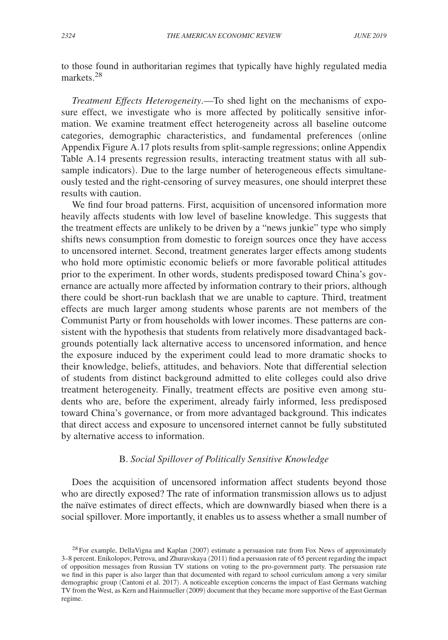to those found in authoritarian regimes that typically have highly regulated media markets<sup>28</sup>

*Treatment Effects Heterogeneity*. —To shed light on the mechanisms of exposure effect, we investigate who is more affected by politically sensitive information. We examine treatment effect heterogeneity across all baseline outcome categories, demographic characteristics, and fundamental preferences (online Appendix Figure A.17 plots results from split-sample regressions; online Appendix Table A.14 presents regression results, interacting treatment status with all subsample indicators). Due to the large number of heterogeneous effects simultaneously tested and the right-censoring of survey measures, one should interpret these results with caution.

We find four broad patterns. First, acquisition of uncensored information more heavily affects students with low level of baseline knowledge. This suggests that the treatment effects are unlikely to be driven by a "news junkie" type who simply shifts news consumption from domestic to foreign sources once they have access to uncensored internet. Second, treatment generates larger effects among students who hold more optimistic economic beliefs or more favorable political attitudes prior to the experiment. In other words, students predisposed toward China's governance are actually more affected by information contrary to their priors, although there could be short-run backlash that we are unable to capture. Third, treatment effects are much larger among students whose parents are not members of the Communist Party or from households with lower incomes. These patterns are consistent with the hypothesis that students from relatively more disadvantaged backgrounds potentially lack alternative access to uncensored information, and hence the exposure induced by the experiment could lead to more dramatic shocks to their knowledge, beliefs, attitudes, and behaviors. Note that differential selection of students from distinct background admitted to elite colleges could also drive treatment heterogeneity. Finally, treatment effects are positive even among students who are, before the experiment, already fairly informed, less predisposed toward China's governance, or from more advantaged background. This indicates that direct access and exposure to uncensored internet cannot be fully substituted by alternative access to information.

# B. *Social Spillover of Politically Sensitive Knowledge*

Does the acquisition of uncensored information affect students beyond those who are directly exposed? The rate of information transmission allows us to adjust the naïve estimates of direct effects, which are downwardly biased when there is a social spillover. More importantly, it enables us to assess whether a small number of

 $28$  For example, DellaVigna and Kaplan (2007) estimate a persuasion rate from Fox News of approximately 3–8 percent. Enikolopov, Petrova, and Zhuravskaya (2011) find a persuasion rate of 65 percent regarding the impact of opposition messages from Russian TV stations on voting to the pro-government party. The persuasion rate we find in this paper is also larger than that documented with regard to school curriculum among a very similar demographic group (Cantoni et al. 2017). A noticeable exception concerns the impact of East Germans watching TV from the West, as Kern and Hainmueller (2009) document that they became more supportive of the East German regime.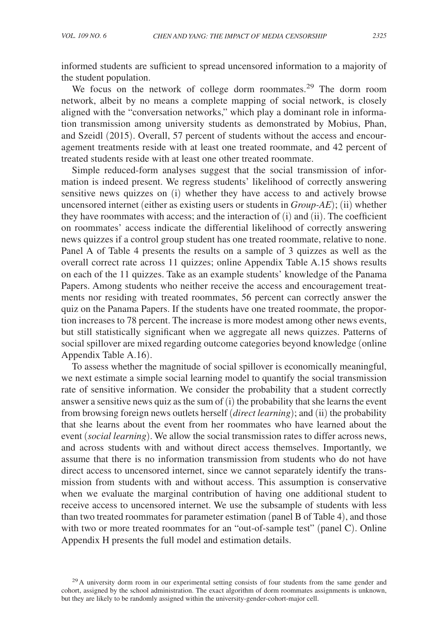informed students are sufficient to spread uncensored information to a majority of the student population.

We focus on the network of college dorm roommates.<sup>29</sup> The dorm room network, albeit by no means a complete mapping of social network, is closely aligned with the "conversation networks," which play a dominant role in information transmission among university students as demonstrated by Mobius, Phan, and Szeidl (2015). Overall, 57 percent of students without the access and encouragement treatments reside with at least one treated roommate, and 42 percent of treated students reside with at least one other treated roommate.

Simple reduced-form analyses suggest that the social transmission of information is indeed present. We regress students' likelihood of correctly answering sensitive news quizzes on (i) whether they have access to and actively browse uncensored internet (either as existing users or students in *Group-AE*); (ii) whether they have roommates with access; and the interaction of (i) and (ii). The coefficient on roommates' access indicate the differential likelihood of correctly answering news quizzes if a control group student has one treated roommate, relative to none. Panel A of Table 4 presents the results on a sample of 3 quizzes as well as the overall correct rate across 11 quizzes; online Appendix Table A.15 shows results on each of the 11 quizzes. Take as an example students' knowledge of the Panama Papers. Among students who neither receive the access and encouragement treatments nor residing with treated roommates, 56 percent can correctly answer the quiz on the Panama Papers. If the students have one treated roommate, the proportion increases to 78 percent. The increase is more modest among other news events, but still statistically significant when we aggregate all news quizzes. Patterns of social spillover are mixed regarding outcome categories beyond knowledge (online Appendix Table A.16).

To assess whether the magnitude of social spillover is economically meaningful, we next estimate a simple social learning model to quantify the social transmission rate of sensitive information. We consider the probability that a student correctly answer a sensitive news quiz as the sum of (i) the probability that she learns the event from browsing foreign news outlets herself (*direct learning*); and (ii) the probability that she learns about the event from her roommates who have learned about the event (*social learning*). We allow the social transmission rates to differ across news, and across students with and without direct access themselves. Importantly, we assume that there is no information transmission from students who do not have direct access to uncensored internet, since we cannot separately identify the transmission from students with and without access. This assumption is conservative when we evaluate the marginal contribution of having one additional student to receive access to uncensored internet. We use the subsample of students with less than two treated roommates for parameter estimation (panel B of Table 4), and those with two or more treated roommates for an "out-of-sample test" (panel C). Online Appendix H presents the full model and estimation details.

 $29$ A university dorm room in our experimental setting consists of four students from the same gender and cohort, assigned by the school administration. The exact algorithm of dorm roommates assignments is unknown, but they are likely to be randomly assigned within the university-gender-cohort-major cell.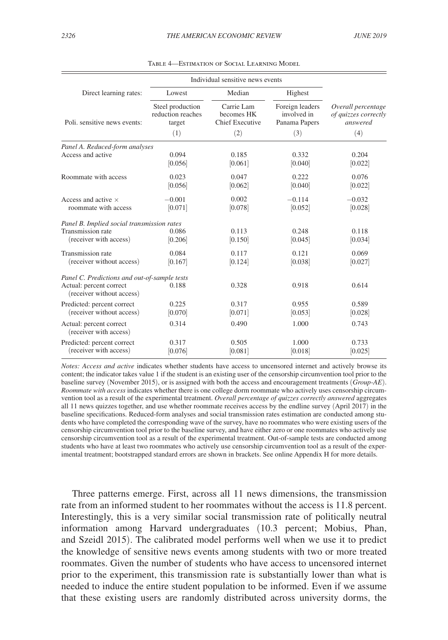|                                                         | Individual sensitive news events                |                                                    |                                                 |                                                        |  |
|---------------------------------------------------------|-------------------------------------------------|----------------------------------------------------|-------------------------------------------------|--------------------------------------------------------|--|
| Direct learning rates:                                  | Lowest                                          | Median                                             | Highest                                         | Overall percentage<br>of quizzes correctly<br>answered |  |
| Poli, sensitive news events:                            | Steel production<br>reduction reaches<br>target | Carrie Lam<br>becomes HK<br><b>Chief Executive</b> | Foreign leaders<br>involved in<br>Panama Papers |                                                        |  |
|                                                         | (1)                                             | (2)                                                | (3)                                             | (4)                                                    |  |
| Panel A. Reduced-form analyses                          |                                                 |                                                    |                                                 |                                                        |  |
| Access and active                                       | 0.094<br>[0.056]                                | 0.185<br>[0.061]                                   | 0.332<br>[0.040]                                | 0.204<br>[0.022]                                       |  |
| Roommate with access                                    | 0.023<br>[0.056]                                | 0.047<br>[0.062]                                   | 0.222<br>[0.040]                                | 0.076<br>[0.022]                                       |  |
| Access and active $\times$<br>roommate with access      | $-0.001$<br>[0.071]                             | 0.002<br>[0.078]                                   | $-0.114$<br>[0.052]                             | $-0.032$<br>[0.028]                                    |  |
| Panel B. Implied social transmission rates              |                                                 |                                                    |                                                 |                                                        |  |
| Transmission rate<br>(receiver with access)             | 0.086<br>[0.206]                                | 0.113<br>[0.150]                                   | 0.248<br>[0.045]                                | 0.118<br>[0.034]                                       |  |
| Transmission rate<br>(receiver without access)          | 0.084<br>[0.167]                                | 0.117<br>[0.124]                                   | 0.121<br>[0.038]                                | 0.069<br>[0.027]                                       |  |
| Panel C. Predictions and out-of-sample tests            |                                                 |                                                    |                                                 |                                                        |  |
| Actual: percent correct<br>(receiver without access)    | 0.188                                           | 0.328                                              | 0.918                                           | 0.614                                                  |  |
| Predicted: percent correct<br>(receiver without access) | 0.225<br>[0.070]                                | 0.317<br>[0.071]                                   | 0.955<br>[0.053]                                | 0.589<br>[0.028]                                       |  |
| Actual: percent correct<br>(receiver with access)       | 0.314                                           | 0.490                                              | 1.000                                           | 0.743                                                  |  |
| Predicted: percent correct<br>(receiver with access)    | 0.317<br>[0.076]                                | 0.505<br>[0.081]                                   | 1.000<br>[0.018]                                | 0.733<br>[0.025]                                       |  |

Table 4—Estimation of Social Learning Model

*Notes: Access and active* indicates whether students have access to uncensored internet and actively browse its content; the indicator takes value 1 if the student is an existing user of the censorship circumvention tool prior to the baseline survey (November 2015), or is assigned with both the access and encouragement treatments (*Group-AE*). *Roommate with access* indicates whether there is one college dorm roommate who actively uses censorship circumvention tool as a result of the experimental treatment. *Overall percentage of quizzes correctly answered* aggregates all 11 news quizzes together, and use whether roommate receives access by the endline survey (April 2017) in the baseline specifications. Reduced-form analyses and social transmission rates estimation are conducted among students who have completed the corresponding wave of the survey, have no roommates who were existing users of the censorship circumvention tool prior to the baseline survey, and have either zero or one roommates who actively use censorship circumvention tool as a result of the experimental treatment. Out-of-sample tests are conducted among students who have at least two roommates who actively use censorship circumvention tool as a result of the experimental treatment; bootstrapped standard errors are shown in brackets. See online Appendix H for more details.

Three patterns emerge. First, across all 11 news dimensions, the transmission rate from an informed student to her roommates without the access is 11.8 percent. Interestingly, this is a very similar social transmission rate of politically neutral information among Harvard undergraduates (10.3 percent; Mobius, Phan, and Szeidl 2015). The calibrated model performs well when we use it to predict the knowledge of sensitive news events among students with two or more treated roommates. Given the number of students who have access to uncensored internet prior to the experiment, this transmission rate is substantially lower than what is needed to induce the entire student population to be informed. Even if we assume that these existing users are randomly distributed across university dorms, the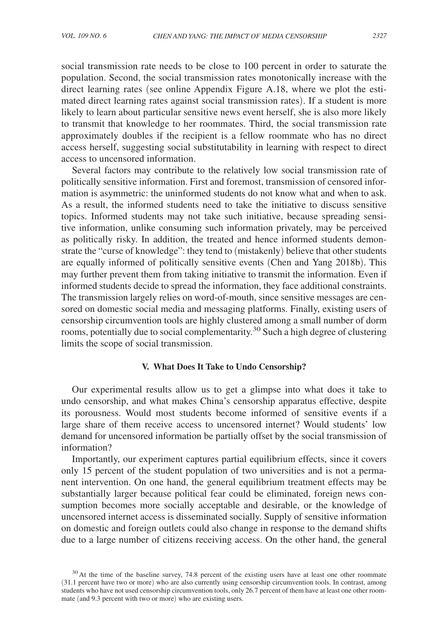social transmission rate needs to be close to 100 percent in order to saturate the population. Second, the social transmission rates monotonically increase with the direct learning rates (see online Appendix Figure A.18, where we plot the estimated direct learning rates against social transmission rates). If a student is more likely to learn about particular sensitive news event herself, she is also more likely to transmit that knowledge to her roommates. Third, the social transmission rate approximately doubles if the recipient is a fellow roommate who has no direct access herself, suggesting social substitutability in learning with respect to direct access to uncensored information.

Several factors may contribute to the relatively low social transmission rate of politically sensitive information. First and foremost, transmission of censored information is asymmetric: the uninformed students do not know what and when to ask. As a result, the informed students need to take the initiative to discuss sensitive topics. Informed students may not take such initiative, because spreading sensitive information, unlike consuming such information privately, may be perceived as politically risky. In addition, the treated and hence informed students demonstrate the "curse of knowledge": they tend to (mistakenly) believe that other students are equally informed of politically sensitive events (Chen and Yang 2018b). This may further prevent them from taking initiative to transmit the information. Even if informed students decide to spread the information, they face additional constraints. The transmission largely relies on word-of-mouth, since sensitive messages are censored on domestic social media and messaging platforms. Finally, existing users of censorship circumvention tools are highly clustered among a small number of dorm rooms, potentially due to social complementarity.<sup>30</sup> Such a high degree of clustering limits the scope of social transmission.

## **V. What Does It Take to Undo Censorship?**

Our experimental results allow us to get a glimpse into what does it take to undo censorship, and what makes China's censorship apparatus effective, despite its porousness. Would most students become informed of sensitive events if a large share of them receive access to uncensored internet? Would students' low demand for uncensored information be partially offset by the social transmission of information?

Importantly, our experiment captures partial equilibrium effects, since it covers only 15 percent of the student population of two universities and is not a permanent intervention. On one hand, the general equilibrium treatment effects may be substantially larger because political fear could be eliminated, foreign news consumption becomes more socially acceptable and desirable, or the knowledge of uncensored internet access is disseminated socially. Supply of sensitive information on domestic and foreign outlets could also change in response to the demand shifts due to a large number of citizens receiving access. On the other hand, the general

<sup>&</sup>lt;sup>30</sup>At the time of the baseline survey, 74.8 percent of the existing users have at least one other roommate (31.1 percent have two or more) who are also currently using censorship circumvention tools. In contrast, among students who have not used censorship circumvention tools, only 26.7 percent of them have at least one other roommate (and 9.3 percent with two or more) who are existing users.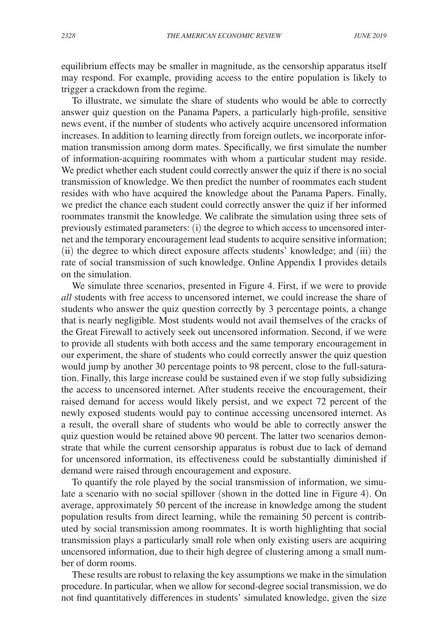equilibrium effects may be smaller in magnitude, as the censorship apparatus itself may respond. For example, providing access to the entire population is likely to trigger a crackdown from the regime.

To illustrate, we simulate the share of students who would be able to correctly answer quiz question on the Panama Papers, a particularly high-profile, sensitive news event, if the number of students who actively acquire uncensored information increases. In addition to learning directly from foreign outlets, we incorporate information transmission among dorm mates. Specifically, we first simulate the number of information-acquiring roommates with whom a particular student may reside. We predict whether each student could correctly answer the quiz if there is no social transmission of knowledge. We then predict the number of roommates each student resides with who have acquired the knowledge about the Panama Papers. Finally, we predict the chance each student could correctly answer the quiz if her informed roommates transmit the knowledge. We calibrate the simulation using three sets of previously estimated parameters: (i) the degree to which access to uncensored internet and the temporary encouragement lead students to acquire sensitive information; (ii) the degree to which direct exposure affects students' knowledge; and (iii) the rate of social transmission of such knowledge. Online Appendix I provides details on the simulation.

We simulate three scenarios, presented in Figure 4. First, if we were to provide *all* students with free access to uncensored internet, we could increase the share of students who answer the quiz question correctly by 3 percentage points, a change that is nearly negligible. Most students would not avail themselves of the cracks of the Great Firewall to actively seek out uncensored information. Second, if we were to provide all students with both access and the same temporary encouragement in our experiment, the share of students who could correctly answer the quiz question would jump by another 30 percentage points to 98 percent, close to the full-saturation. Finally, this large increase could be sustained even if we stop fully subsidizing the access to uncensored internet. After students receive the encouragement, their raised demand for access would likely persist, and we expect 72 percent of the newly exposed students would pay to continue accessing uncensored internet. As a result, the overall share of students who would be able to correctly answer the quiz question would be retained above 90 percent. The latter two scenarios demonstrate that while the current censorship apparatus is robust due to lack of demand for uncensored information, its effectiveness could be substantially diminished if demand were raised through encouragement and exposure.

To quantify the role played by the social transmission of information, we simulate a scenario with no social spillover (shown in the dotted line in Figure 4). On average, approximately 50 percent of the increase in knowledge among the student population results from direct learning, while the remaining 50 percent is contributed by social transmission among roommates. It is worth highlighting that social transmission plays a particularly small role when only existing users are acquiring uncensored information, due to their high degree of clustering among a small number of dorm rooms.

These results are robust to relaxing the key assumptions we make in the simulation procedure. In particular, when we allow for second-degree social transmission, we do not find quantitatively differences in students' simulated knowledge, given the size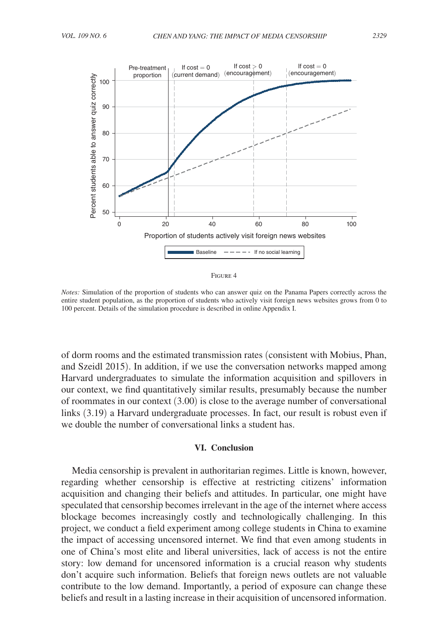

| ĩГ |  |
|----|--|
|----|--|

*Notes:* Simulation of the proportion of students who can answer quiz on the Panama Papers correctly across the entire student population, as the proportion of students who actively visit foreign news websites grows from 0 to 100 percent. Details of the simulation procedure is described in online Appendix I.

of dorm rooms and the estimated transmission rates (consistent with Mobius, Phan, and Szeidl 2015). In addition, if we use the conversation networks mapped among Harvard undergraduates to simulate the information acquisition and spillovers in our context, we find quantitatively similar results, presumably because the number of roommates in our context (3.00) is close to the average number of conversational links (3.19) a Harvard undergraduate processes. In fact, our result is robust even if we double the number of conversational links a student has.

### **VI. Conclusion**

Media censorship is prevalent in authoritarian regimes. Little is known, however, regarding whether censorship is effective at restricting citizens' information acquisition and changing their beliefs and attitudes. In particular, one might have speculated that censorship becomes irrelevant in the age of the internet where access blockage becomes increasingly costly and technologically challenging. In this project, we conduct a field experiment among college students in China to examine the impact of accessing uncensored internet. We find that even among students in one of China's most elite and liberal universities, lack of access is not the entire story: low demand for uncensored information is a crucial reason why students don't acquire such information. Beliefs that foreign news outlets are not valuable contribute to the low demand. Importantly, a period of exposure can change these beliefs and result in a lasting increase in their acquisition of uncensored information.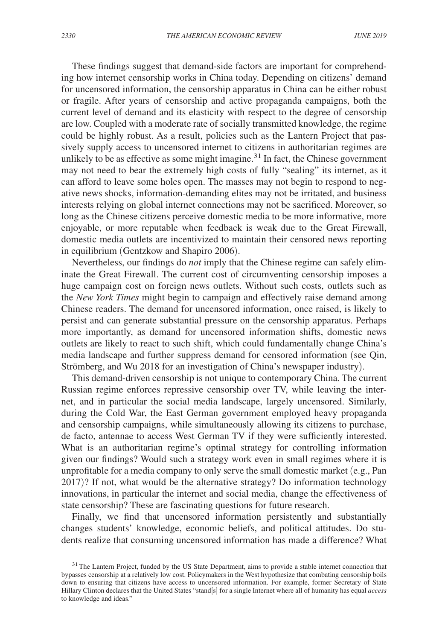These findings suggest that demand-side factors are important for comprehending how internet censorship works in China today. Depending on citizens' demand for uncensored information, the censorship apparatus in China can be either robust or fragile. After years of censorship and active propaganda campaigns, both the current level of demand and its elasticity with respect to the degree of censorship are low. Coupled with a moderate rate of socially transmitted knowledge, the regime could be highly robust. As a result, policies such as the Lantern Project that passively supply access to uncensored internet to citizens in authoritarian regimes are unlikely to be as effective as some might imagine.<sup>31</sup> In fact, the Chinese government may not need to bear the extremely high costs of fully "sealing" its internet, as it can afford to leave some holes open. The masses may not begin to respond to negative news shocks, information-demanding elites may not be irritated, and business interests relying on global internet connections may not be sacrificed. Moreover, so long as the Chinese citizens perceive domestic media to be more informative, more enjoyable, or more reputable when feedback is weak due to the Great Firewall, domestic media outlets are incentivized to maintain their censored news reporting in equilibrium (Gentzkow and Shapiro 2006).

Nevertheless, our findings do *not* imply that the Chinese regime can safely eliminate the Great Firewall. The current cost of circumventing censorship imposes a huge campaign cost on foreign news outlets. Without such costs, outlets such as the *New York Times* might begin to campaign and effectively raise demand among Chinese readers. The demand for uncensored information, once raised, is likely to persist and can generate substantial pressure on the censorship apparatus. Perhaps more importantly, as demand for uncensored information shifts, domestic news outlets are likely to react to such shift, which could fundamentally change China's media landscape and further suppress demand for censored information (see Qin, Strömberg, and Wu 2018 for an investigation of China's newspaper industry).

This demand-driven censorship is not unique to contemporary China. The current Russian regime enforces repressive censorship over TV, while leaving the internet, and in particular the social media landscape, largely uncensored. Similarly, during the Cold War, the East German government employed heavy propaganda and censorship campaigns, while simultaneously allowing its citizens to purchase, de facto, antennae to access West German TV if they were sufficiently interested. What is an authoritarian regime's optimal strategy for controlling information given our findings? Would such a strategy work even in small regimes where it is unprofitable for a media company to only serve the small domestic market (e.g., Pan 2017)? If not, what would be the alternative strategy? Do information technology innovations, in particular the internet and social media, change the effectiveness of state censorship? These are fascinating questions for future research.

Finally, we find that uncensored information persistently and substantially changes students' knowledge, economic beliefs, and political attitudes. Do students realize that consuming uncensored information has made a difference? What

<sup>&</sup>lt;sup>31</sup> The Lantern Project, funded by the US State Department, aims to provide a stable internet connection that bypasses censorship at a relatively low cost. Policymakers in the West hypothesize that combating censorship boils down to ensuring that citizens have access to uncensored information. For example, former Secretary of State Hillary Clinton declares that the United States "stand[s] for a single Internet where all of humanity has equal *access* to knowledge and ideas."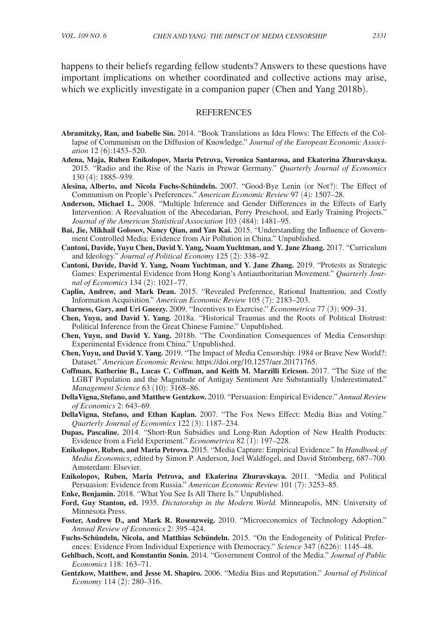happens to their beliefs regarding fellow students? Answers to these questions have important implications on whether coordinated and collective actions may arise, which we explicitly investigate in a companion paper (Chen and Yang 2018b).

#### **REFERENCES**

- **Abramitzky, Ran, and Isabelle Sin.** 2014. "Book Translations as Idea Flows: The Effects of the Collapse of Communism on the Diffusion of Knowledge." *Journal of the European Economic Association* 12 (6):1453–520.
- **Adena, Maja, Ruben Enikolopov, Maria Petrova, Veronica Santarosa, and Ekaterina Zhuravskaya.**  2015. "Radio and the Rise of the Nazis in Prewar Germany." *Quarterly Journal of Economics* 130 (4): 1885–939.
- **Alesina, Alberto, and Nicola Fuchs-Schündeln.** 2007. "Good-Bye Lenin (or Not?): The Effect of Communism on People's Preferences." *American Economic Review* 97 (4): 1507–28.
- **Anderson, Michael L.** 2008. "Multiple Inference and Gender Differences in the Effects of Early Intervention: A Reevaluation of the Abecedarian, Perry Preschool, and Early Training Projects." *Journal of the American Statistical Association* 103 (484): 1481–95.
- **Bai, Jie, Mikhail Golosov, Nancy Qian, and Yan Kai.** 2015. "Understanding the Influence of Government Controlled Media: Evidence from Air Pollution in China." Unpublished.
- **Cantoni, Davide, Yuyu Chen, David Y. Yang, Noam Yuchtman, and Y. Jane Zhang.** 2017. "Curriculum and Ideology." *Journal of Political Economy* 125 (2): 338–92.
- **Cantoni, Davide, David Y. Yang, Noam Yuchtman, and Y. Jane Zhang.** 2019. "Protests as Strategic Games: Experimental Evidence from Hong Kong's Antiauthoritarian Movement." *Quarterly Journal of Economics* 134 (2): 1021–77.
- **Caplin, Andrew, and Mark Dean.** 2015. "Revealed Preference, Rational Inattention, and Costly Information Acquisition." *American Economic Review* 105 (7): 2183–203.
- **Charness, Gary, and Uri Gneezy.** 2009. "Incentives to Exercise." *Econometrica* 77 (3): 909–31.
- **Chen, Yuyu, and David Y. Yang.** 2018a. "Historical Traumas and the Roots of Political Distrust: Political Inference from the Great Chinese Famine." Unpublished.
- **Chen, Yuyu, and David Y. Yang.** 2018b. "The Coordination Consequences of Media Censorship: Experimental Evidence from China." Unpublished.
- **Chen, Yuyu, and David Y. Yang.** 2019. "The Impact of Media Censorship: 1984 or Brave New World?: Dataset." *American Economic Review.* https://doi.org/10.1257/aer.20171765.
- **Coffman, Katherine B., Lucas C. Coffman, and Keith M. Marzilli Ericson.** 2017. "The Size of the LGBT Population and the Magnitude of Antigay Sentiment Are Substantially Underestimated." *Management Science* 63 (10): 3168–86.
- **DellaVigna, Stefano, and Matthew Gentzkow.** 2010. "Persuasion: Empirical Evidence." *Annual Review of Economics* 2: 643–69.
- **DellaVigna, Stefano, and Ethan Kaplan.** 2007. "The Fox News Effect: Media Bias and Voting." *Quarterly Journal of Economics* 122 (3): 1187–234.
- **Dupas, Pascaline.** 2014. "Short-Run Subsidies and Long-Run Adoption of New Health Products: Evidence from a Field Experiment." *Econometrica* 82 (1): 197–228.
- **Enikolopov, Ruben, and Maria Petrova.** 2015. "Media Capture: Empirical Evidence." In *Handbook of Media Economics*, edited by Simon P. Anderson, Joel Waldfogel, and David Strömberg, 687–700. Amsterdam: Elsevier.
- **Enikolopov, Ruben, Maria Petrova, and Ekaterina Zhuravskaya.** 2011. "Media and Political Persuasion: Evidence from Russia." *American Economic Review* 101 (7): 3253–85.
- **Enke, Benjamin.** 2018. "What You See Is All There Is." Unpublished.
- **Ford, Guy Stanton, ed.** 1935. *Dictatorship in the Modern World.* Minneapolis, MN: University of Minnesota Press.
- **Foster, Andrew D., and Mark R. Rosenzweig.** 2010. "Microeconomics of Technology Adoption." *Annual Review of Economics* 2: 395–424.
- **Fuchs-Schündeln, Nicola, and Matthias Schündeln.** 2015. "On the Endogeneity of Political Preferences: Evidence From Individual Experience with Democracy." *Science* 347 (6226): 1145–48.
- **Gehlbach, Scott, and Konstantin Sonin.** 2014. "Government Control of the Media." *Journal of Public Economics* 118: 163–71.
- **Gentzkow, Matthew, and Jesse M. Shapiro.** 2006. "Media Bias and Reputation." *Journal of Political Economy* 114 (2): 280–316.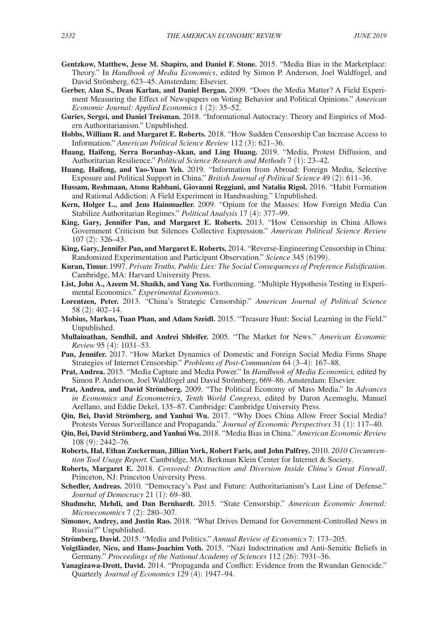- **Gentzkow, Matthew, Jesse M. Shapiro, and Daniel F. Stone.** 2015. "Media Bias in the Marketplace: Theory." In *Handbook of Media Economics*, edited by Simon P. Anderson, Joel Waldfogel, and David Strömberg, 623–45. Amsterdam: Elsevier.
- **Gerber, Alan S., Dean Karlan, and Daniel Bergan.** 2009. "Does the Media Matter? A Field Experiment Measuring the Effect of Newspapers on Voting Behavior and Political Opinions." *American Economic Journal: Applied Economics* 1 (2): 35–52.
- **Guriev, Sergei, and Daniel Treisman.** 2018. "Informational Autocracy: Theory and Empirics of Modern Authoritarianism." Unpublished.
- **Hobbs, William R. and Margaret E. Roberts.** 2018. "How Sudden Censorship Can Increase Access to Information." *American Political Science Review* 112 (3): 621–36.
- **Huang, Haifeng, Serra Boranbay-Akan, and Ling Huang.** 2019. "Media, Protest Diffusion, and Authoritarian Resilience." *Political Science Research and Methods* 7 (1): 23–42.
- **Huang, Haifeng, and Yao-Yuan Yeh.** 2019. "Information from Abroad: Foreign Media, Selective Exposure and Political Support in China." *British Journal of Political Science* 49 (2): 611–36.
- **Hussam, Reshmaan, Atonu Rabbani, Giovanni Reggiani, and Natalia Rigol.** 2016. "Habit Formation and Rational Addiction: A Field Experiment in Handwashing." Unpublished.
- **Kern, Holger L., and Jens Hainmueller.** 2009. "Opium for the Masses: How Foreign Media Can Stabilize Authoritarian Regimes." *Political Analysis* 17 (4): 377–99.
- **King, Gary, Jennifer Pan, and Margaret E. Roberts.** 2013. "How Censorship in China Allows Government Criticism but Silences Collective Expression." *American Political Science Review* 107 (2): 326–43.
- **King, Gary, Jennifer Pan, and Margaret E. Roberts.** 2014. "Reverse-Engineering Censorship in China: Randomized Experimentation and Participant Observation." *Science* 345 (6199).
- **Kuran, Timur.** 1997. *Private Truths, Public Lies: The Social Consequences of Preference Falsification*. Cambridge, MA: Harvard University Press.
- List, John A., Azeem M. Shaikh, and Yang Xu. Forthcoming. "Multiple Hypothesis Testing in Experimental Economics." *Experimental Economics*.
- **Lorentzen, Peter.** 2013. "China's Strategic Censorship." *American Journal of Political Science* 58 (2): 402–14.
- **Mobius, Markus, Tuan Phan, and Adam Szeidl.** 2015. "Treasure Hunt: Social Learning in the Field." Unpublished.
- **Mullainathan, Sendhil, and Andrei Shleifer.** 2005. "The Market for News." *American Economic Review* 95 (4): 1031–53.
- **Pan, Jennifer.** 2017. "How Market Dynamics of Domestic and Foreign Social Media Firms Shape Strategies of Internet Censorship." *Problems of Post-Communism* 64 (3–4): 167–88.
- **Prat, Andrea.** 2015. "Media Capture and Media Power." In *Handbook of Media Economics,* edited by Simon P. Anderson, Joel Waldfogel and David Strömberg, 669–86. Amsterdam: Elsevier.
- **Prat, Andrea, and David Strömberg.** 2009. "The Political Economy of Mass Media." In *Advances in Economics and Econometrics*, *Tenth World Congress,* edited by Daron Acemoglu, Manuel Arellano, and Eddie Dekel, 135–87. Cambridge: Cambridge University Press.
- **Qin, Bei, David Strömberg, and Yanhui Wu.** 2017. "Why Does China Allow Freer Social Media? Protests Versus Surveillance and Propaganda." *Journal of Economic Perspectives* 31 (1): 117–40.
- **Qin, Bei, David Strömberg, and Yanhui Wu.** 2018. "Media Bias in China." *American Economic Review* 108 (9): 2442–76.
- **Roberts, Hal, Ethan Zuckerman, Jillian York, Robert Faris, and John Palfrey.** 2010. *2010 Circumvention Tool Usage Report.* Cambridge, MA: Berkman Klein Center for Internet & Society.
- **Roberts, Margaret E.** 2018. *Censored: Distraction and Diversion Inside China's Great Firewall*. Princeton, NJ: Princeton University Press.
- **Schedler, Andreas.** 2010. "Democracy's Past and Future: Authoritarianism's Last Line of Defense." *Journal of Democracy* 21 (1): 69–80.
- **Shadmehr, Mehdi, and Dan Bernhardt.** 2015. "State Censorship." *American Economic Journal: Microeconomics* 7 (2): 280–307.
- **Simonov, Andrey, and Justin Rao.** 2018. "What Drives Demand for Government-Controlled News in Russia?" Unpublished.
- **Strömberg, David.** 2015. "Media and Politics." *Annual Review of Economics* 7: 173–205.
- **Voigtländer, Nico, and Hans-Joachim Voth.** 2015. "Nazi Indoctrination and Anti-Semitic Beliefs in Germany." *Proceedings of the National Academy of Sciences* 112 (26): 7931–36.
- **Yanagizawa-Drott, David.** 2014. "Propaganda and Conflict: Evidence from the Rwandan Genocide." Quarterly *Journal of Economics* 129 (4): 1947–94.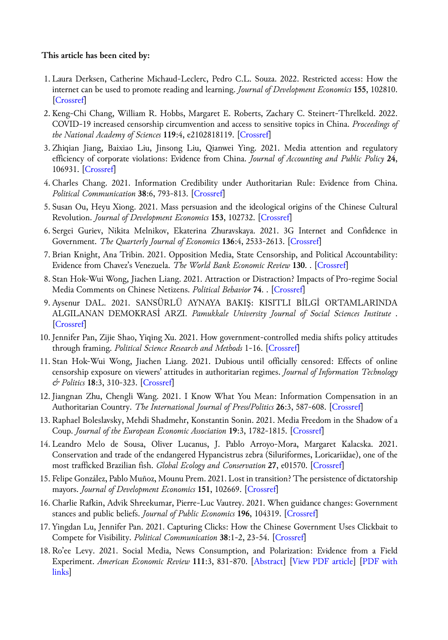# **This article has been cited by:**

- 1. Laura Derksen, Catherine Michaud-Leclerc, Pedro C.L. Souza. 2022. Restricted access: How the internet can be used to promote reading and learning. *Journal of Development Economics* **155**, 102810. [Crossref]
- 2. Keng-Chi Chang, William R. Hobbs, Margaret E. Roberts, Zachary C. Steinert-Threlkeld. 2022. COVID-19 increased censorship circumvention and access to sensitive topics in China. *Proceedings of the National Academy of Sciences* **119**:4, e2102818119. [Crossref]
- 3. Zhiqian Jiang, Baixiao Liu, Jinsong Liu, Qianwei Ying. 2021. Media attention and regulatory efficiency of corporate violations: Evidence from China. *Journal of Accounting and Public Policy* **24**, 106931. [Crossref]
- 4. Charles Chang. 2021. Information Credibility under Authoritarian Rule: Evidence from China. *Political Communication* **38**:6, 793-813. [Crossref]
- 5. Susan Ou, Heyu Xiong. 2021. Mass persuasion and the ideological origins of the Chinese Cultural Revolution. *Journal of Development Economics* **153**, 102732. [Crossref]
- 6. Sergei Guriev, Nikita Melnikov, Ekaterina Zhuravskaya. 2021. 3G Internet and Confidence in Government. *The Quarterly Journal of Economics* **136**:4, 2533-2613. [Crossref]
- 7. Brian Knight, Ana Tribin. 2021. Opposition Media, State Censorship, and Political Accountability: Evidence from Chavez's Venezuela. *The World Bank Economic Review* **130**. . [Crossref]
- 8. Stan Hok-Wui Wong, Jiachen Liang. 2021. Attraction or Distraction? Impacts of Pro-regime Social Media Comments on Chinese Netizens. *Political Behavior* **74**. . [Crossref]
- 9. Aysenur DAL. 2021. SANSÜRLÜ AYNAYA BAKIŞ: KISITLI BİLGİ ORTAMLARINDA ALGILANAN DEMOKRASİ ARZI. *Pamukkale University Journal of Social Sciences Institute* . [Crossref]
- 10. Jennifer Pan, Zijie Shao, Yiqing Xu. 2021. How government-controlled media shifts policy attitudes through framing. *Political Science Research and Methods* 1-16. [Crossref]
- 11. Stan Hok-Wui Wong, Jiachen Liang. 2021. Dubious until officially censored: Effects of online censorship exposure on viewers' attitudes in authoritarian regimes. *Journal of Information Technology & Politics* **18**:3, 310-323. [Crossref]
- 12. Jiangnan Zhu, Chengli Wang. 2021. I Know What You Mean: Information Compensation in an Authoritarian Country. *The International Journal of Press/Politics* **26**:3, 587-608. [Crossref]
- 13. Raphael Boleslavsky, Mehdi Shadmehr, Konstantin Sonin. 2021. Media Freedom in the Shadow of a Coup. *Journal of the European Economic Association* **19**:3, 1782-1815. [Crossref]
- 14. Leandro Melo de Sousa, Oliver Lucanus, J. Pablo Arroyo-Mora, Margaret Kalacska. 2021. Conservation and trade of the endangered Hypancistrus zebra (Siluriformes, Loricariidae), one of the most trafficked Brazilian fish. *Global Ecology and Conservation* **27**, e01570. [Crossref]
- 15. Felipe González, Pablo Muñoz, Mounu Prem. 2021. Lost in transition? The persistence of dictatorship mayors. *Journal of Development Economics* **151**, 102669. [Crossref]
- 16. Charlie Rafkin, Advik Shreekumar, Pierre-Luc Vautrey. 2021. When guidance changes: Government stances and public beliefs. *Journal of Public Economics* **196**, 104319. [Crossref]
- 17. Yingdan Lu, Jennifer Pan. 2021. Capturing Clicks: How the Chinese Government Uses Clickbait to Compete for Visibility. *Political Communication* **38**:1-2, 23-54. [Crossref]
- 18. Ro'ee Levy. 2021. Social Media, News Consumption, and Polarization: Evidence from a Field Experiment. *American Economic Review* **111**:3, 831-870. [Abstract] [View PDF article] [PDF with links]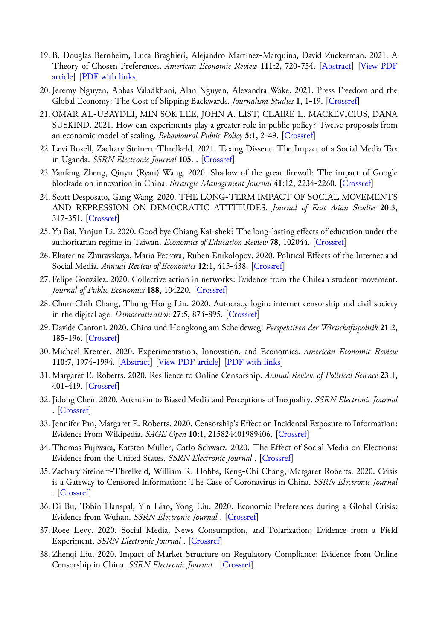- 19. B. Douglas Bernheim, Luca Braghieri, Alejandro Martínez-Marquina, David Zuckerman. 2021. A Theory of Chosen Preferences. *American Economic Review* **111**:2, 720-754. [Abstract] [View PDF article] [PDF with links]
- 20. Jeremy Nguyen, Abbas Valadkhani, Alan Nguyen, Alexandra Wake. 2021. Press Freedom and the Global Economy: The Cost of Slipping Backwards. *Journalism Studies* **1**, 1-19. [Crossref]
- 21. OMAR AL-UBAYDLI, MIN SOK LEE, JOHN A. LIST, CLAIRE L. MACKEVICIUS, DANA SUSKIND. 2021. How can experiments play a greater role in public policy? Twelve proposals from an economic model of scaling. *Behavioural Public Policy* **5**:1, 2-49. [Crossref]
- 22. Levi Boxell, Zachary Steinert-Threlkeld. 2021. Taxing Dissent: The Impact of a Social Media Tax in Uganda. *SSRN Electronic Journal* **105**. . [Crossref]
- 23. Yanfeng Zheng, Qinyu (Ryan) Wang. 2020. Shadow of the great firewall: The impact of Google blockade on innovation in China. *Strategic Management Journal* **41**:12, 2234-2260. [Crossref]
- 24. Scott Desposato, Gang Wang. 2020. THE LONG-TERM IMPACT OF SOCIAL MOVEMENTS AND REPRESSION ON DEMOCRATIC ATTITUDES. *Journal of East Asian Studies* **20**:3, 317-351. [Crossref]
- 25. Yu Bai, Yanjun Li. 2020. Good bye Chiang Kai-shek? The long-lasting effects of education under the authoritarian regime in Taiwan. *Economics of Education Review* **78**, 102044. [Crossref]
- 26. Ekaterina Zhuravskaya, Maria Petrova, Ruben Enikolopov. 2020. Political Effects of the Internet and Social Media. *Annual Review of Economics* **12**:1, 415-438. [Crossref]
- 27. Felipe González. 2020. Collective action in networks: Evidence from the Chilean student movement. *Journal of Public Economics* **188**, 104220. [Crossref]
- 28. Chun-Chih Chang, Thung-Hong Lin. 2020. Autocracy login: internet censorship and civil society in the digital age. *Democratization* **27**:5, 874-895. [Crossref]
- 29. Davide Cantoni. 2020. China und Hongkong am Scheideweg. *Perspektiven der Wirtschaftspolitik* **21**:2, 185-196. [Crossref]
- 30. Michael Kremer. 2020. Experimentation, Innovation, and Economics. *American Economic Review* **110**:7, 1974-1994. [Abstract] [View PDF article] [PDF with links]
- 31. Margaret E. Roberts. 2020. Resilience to Online Censorship. *Annual Review of Political Science* **23**:1, 401-419. [Crossref]
- 32. Jidong Chen. 2020. Attention to Biased Media and Perceptions of Inequality. *SSRN Electronic Journal* . [Crossref]
- 33. Jennifer Pan, Margaret E. Roberts. 2020. Censorship's Effect on Incidental Exposure to Information: Evidence From Wikipedia. *SAGE Open* **10**:1, 215824401989406. [Crossref]
- 34. Thomas Fujiwara, Karsten Müller, Carlo Schwarz. 2020. The Effect of Social Media on Elections: Evidence from the United States. *SSRN Electronic Journal* . [Crossref]
- 35. Zachary Steinert-Threlkeld, William R. Hobbs, Keng-Chi Chang, Margaret Roberts. 2020. Crisis is a Gateway to Censored Information: The Case of Coronavirus in China. *SSRN Electronic Journal* . [Crossref]
- 36. Di Bu, Tobin Hanspal, Yin Liao, Yong Liu. 2020. Economic Preferences during a Global Crisis: Evidence from Wuhan. *SSRN Electronic Journal* . [Crossref]
- 37. Roee Levy. 2020. Social Media, News Consumption, and Polarization: Evidence from a Field Experiment. *SSRN Electronic Journal* . [Crossref]
- 38. Zhenqi Liu. 2020. Impact of Market Structure on Regulatory Compliance: Evidence from Online Censorship in China. *SSRN Electronic Journal* . [Crossref]